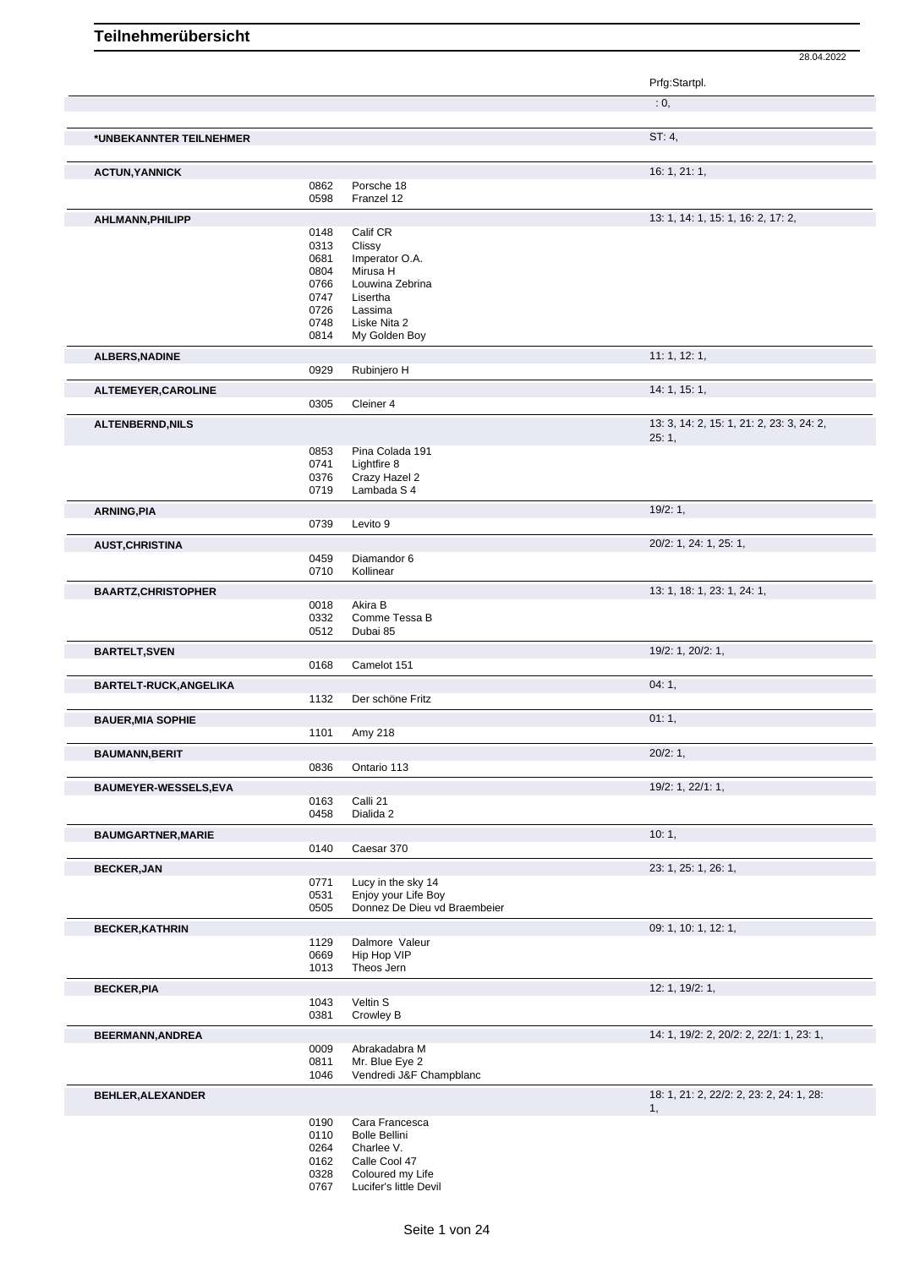28.04.2022 **Teilnehmerübersicht** Prfg:Startpl.  $: 0,$ **\*UNBEKANNTER TEILNEHMER** ST: 4, **ACTUN, YANNICK** 16: 1, 21: 1, 20062 Porsche 18 0862 Porsche 18<br>0598 Franzel 12 Franzel 12 **AHLMANN, PHILIPP** 13: 1, 14: 1, 15: 1, 16: 2, 17: 2, 17: 2, 17: 2, 17: 2, 17: 2, 17: 2, 17: 2, 17: 2, 17: 2, 17: 2, 0148 Calif CR<br>0313 Clissy 0313 Clissy<br>0681 Impera 0681 Imperator O.A.<br>0804 Mirusa H 0804 Mirusa H<br>0766 Louwina 0766 Louwina Zebrina<br>0747 Lisertha 0747 Lisertha<br>0726 Lassima 0726 Lassima<br>0748 Liske Nit 0748 Liske Nita 2 0814 My Golden Boy **ALBERS,NADINE** 11: 1, 12: 1, 0929 Rubiniero H Rubinjero H **ALTEMEYER, CAROLINE** 14: 1, 15: 1, 0305 Cleiner 4 **ALTENBERND,NILS** 13: 3, 14: 2, 15: 1, 21: 2, 23: 3, 24: 2, 25: 1, 0853 Pina Colada 191<br>0741 Lightfire 8 0741 Lightfire 8<br>0376 Crazy Haz 0376 Crazy Hazel 2<br>0719 Lambada S 4 Lambada S 4 **ARNING,PIA** 19/2: 1, 0739 Levito 9 **AUST,CHRISTINA** 20/2: 1, 24: 1, 25: 1, 0459 Diamandor 6<br>0710 Kollinear Kollinear **BAARTZ, CHRISTOPHER** 13: 1, 18: 1, 23: 1, 24: 1, 0018 Akira B<br>0332 Comme 0332 Comme Tessa B<br>0512 Dubai 85 Dubai 85 **BARTELT,SVEN** 19/2: 1, 20/2: 1, 20/2: 1, 20/2: 1, 20/2: 1, 20/2: 1, 20/2: 1, 20/2: 1, 20/2: 1, 20/2: 1, 20/2: 1, 20/2: 1, 20/2: 1, 20/2: 1, 20/2: 1, 20/2: 1, 20/2: 1, 20/2: 1, 20/2: 1, 20/2: 1, 20/2: 1, 20/2: 1, 20/2: 1, 0168 Camelot 151 **BARTELT-RUCK,ANGELIKA** 04: 1, 1132 Der schöne Fritz **BAUER,MIA SOPHIE** 01: 1, 1101 Amy 218 **BAUMANN,BERIT** 20/2: 1, 0836 Ontario 113 **BAUMEYER-WESSELS,EVA** 19/2: 1, 22/1: 1, 0163 Calli 21 0458 Dialida 2 **BAUMGARTNER,MARIE** 10: 1, 0140 Caesar 370 **BECKER,JAN 23: 1, 25: 1, 26: 1,** 0771 Lucy in the sky 14<br>0531 Enjoy your Life Bo 0531 Enjoy your Life Boy<br>0505 Donnez De Dieu vd Donnez De Dieu vd Braembeier **BECKER, KATHRIN** 09: 1, 10: 1, 12: 1, 12: 1, 12: 1, 12: 1, 12: 1, 12: 1, 12: 1, 12: 1, 12: 1, 12: 1, 12: 1, 12: 1, 1129 Dalmore Valeur<br>0669 Hip Hop VIP 0669 Hip Hop VIP<br>1013 Theos Jern Theos Jern **BECKER,PIA** 12: 1, 19/2: 1, 1043 Veltin S<br>0381 Crowley Crowley B **BEERMANN,ANDREA** 14: 1, 19/2: 2, 20/2: 2, 22/1: 1, 23: 1,<br>0009 Abrakadabra M 0009 Abrakadabra M<br>0811 Mr. Blue Eye 2 Mr. Blue Eye 2 1046 Vendredi J&F Champblanc **BEHLER,ALEXANDER** 18: 1, 21: 2, 22/2: 2, 23: 2, 24: 1, 28: 2, 24: 1, 28: 2, 23: 2, 24: 1, 28: 2, 23: 2, 24: 1, 28: 1,

> 0190 Cara Francesca 0110 Bolle Bellini

0264 Charlee V.<br>0162 Calle Cool Calle Cool 47

0328 Coloured my Life<br>0767 Lucifer's little Dev Lucifer's little Devil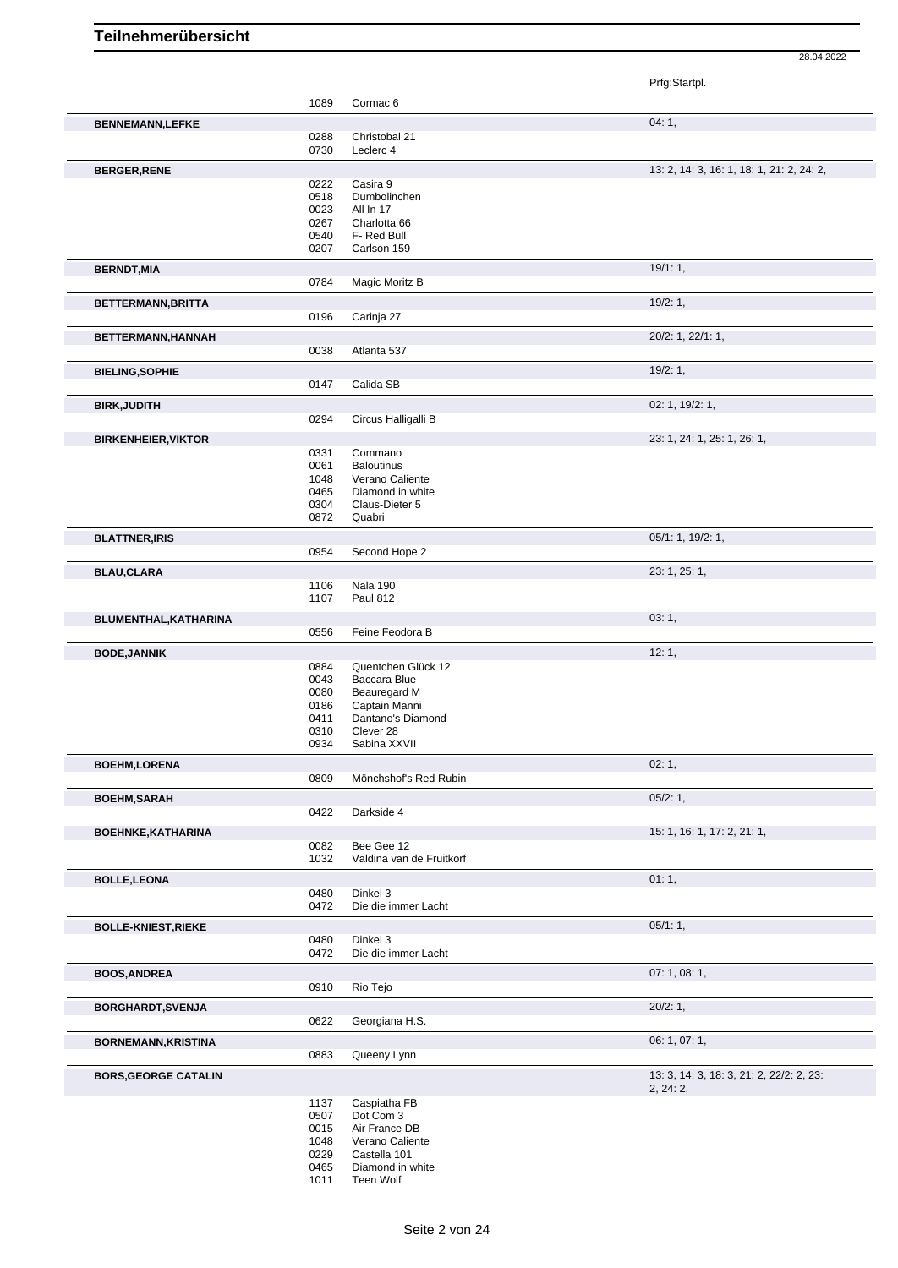28.04.2022 Prfg:Startpl.

|                             |              |                                        | Prig.Startpi.                             |
|-----------------------------|--------------|----------------------------------------|-------------------------------------------|
|                             | 1089         | Cormac <sub>6</sub>                    |                                           |
| <b>BENNEMANN,LEFKE</b>      |              |                                        | 04:1,                                     |
|                             | 0288         | Christobal 21                          |                                           |
|                             | 0730         | Leclerc 4                              |                                           |
| <b>BERGER, RENE</b>         |              |                                        | 13: 2, 14: 3, 16: 1, 18: 1, 21: 2, 24: 2, |
|                             | 0222         | Casira 9                               |                                           |
|                             | 0518         | Dumbolinchen                           |                                           |
|                             | 0023         | All In 17                              |                                           |
|                             | 0267         | Charlotta 66                           |                                           |
|                             | 0540         | F- Red Bull                            |                                           |
|                             | 0207         | Carlson 159                            |                                           |
| <b>BERNDT, MIA</b>          |              |                                        | 19/1:1,                                   |
|                             | 0784         | Magic Moritz B                         |                                           |
| BETTERMANN, BRITTA          |              |                                        | 19/2:1,                                   |
|                             | 0196         | Carinja 27                             |                                           |
| BETTERMANN, HANNAH          |              |                                        | 20/2: 1, 22/1: 1,                         |
|                             | 0038         | Atlanta 537                            |                                           |
|                             |              |                                        |                                           |
| <b>BIELING, SOPHIE</b>      |              |                                        | 19/2:1,                                   |
|                             | 0147         | Calida SB                              |                                           |
| <b>BIRK, JUDITH</b>         |              |                                        | 02: 1, 19/2: 1,                           |
|                             | 0294         | Circus Halligalli B                    |                                           |
| <b>BIRKENHEIER, VIKTOR</b>  |              |                                        | 23: 1, 24: 1, 25: 1, 26: 1,               |
|                             | 0331         | Commano                                |                                           |
|                             | 0061         | <b>Baloutinus</b>                      |                                           |
|                             | 1048         | Verano Caliente                        |                                           |
|                             | 0465         | Diamond in white                       |                                           |
|                             | 0304         | Claus-Dieter 5                         |                                           |
|                             | 0872         | Quabri                                 |                                           |
| <b>BLATTNER, IRIS</b>       |              |                                        | 05/1: 1, 19/2: 1,                         |
|                             | 0954         | Second Hope 2                          |                                           |
| <b>BLAU,CLARA</b>           |              |                                        | 23: 1, 25: 1,                             |
|                             | 1106         | <b>Nala 190</b>                        |                                           |
|                             | 1107         | <b>Paul 812</b>                        |                                           |
| BLUMENTHAL, KATHARINA       |              |                                        | 03:1,                                     |
|                             | 0556         | Feine Feodora B                        |                                           |
|                             |              |                                        |                                           |
| <b>BODE, JANNIK</b>         |              |                                        | 12:1,                                     |
|                             | 0884<br>0043 | Quentchen Glück 12<br>Baccara Blue     |                                           |
|                             | 0080         | <b>Beauregard M</b>                    |                                           |
|                             | 0186         | Captain Manni                          |                                           |
|                             | 0411         | Dantano's Diamond                      |                                           |
|                             | 0310         | Clever 28                              |                                           |
|                             | 0934         | Sabina XXVII                           |                                           |
| <b>BOEHM,LORENA</b>         |              |                                        | 02:1,                                     |
|                             | 0809         | Mönchshof's Red Rubin                  |                                           |
| <b>BOEHM, SARAH</b>         |              |                                        | 05/2:1,                                   |
|                             | 0422         | Darkside 4                             |                                           |
|                             |              |                                        |                                           |
| BOEHNKE, KATHARINA          |              |                                        | 15: 1, 16: 1, 17: 2, 21: 1,               |
|                             | 0082<br>1032 | Bee Gee 12<br>Valdina van de Fruitkorf |                                           |
|                             |              |                                        |                                           |
| <b>BOLLE, LEONA</b>         |              |                                        | 01:1,                                     |
|                             | 0480         | Dinkel 3                               |                                           |
|                             | 0472         | Die die immer Lacht                    |                                           |
| <b>BOLLE-KNIEST, RIEKE</b>  |              |                                        | 05/1:1,                                   |
|                             | 0480         | Dinkel 3                               |                                           |
|                             | 0472         | Die die immer Lacht                    |                                           |
| <b>BOOS, ANDREA</b>         |              |                                        | 07:1,08:1,                                |
|                             | 0910         | Rio Tejo                               |                                           |
|                             |              |                                        |                                           |
| <b>BORGHARDT, SVENJA</b>    | 0622         | Georgiana H.S.                         | 20/2:1,                                   |
|                             |              |                                        |                                           |
| <b>BORNEMANN, KRISTINA</b>  |              |                                        | 06: 1, 07: 1,                             |
|                             | 0883         | Queeny Lynn                            |                                           |
| <b>BORS, GEORGE CATALIN</b> |              |                                        | 13: 3, 14: 3, 18: 3, 21: 2, 22/2: 2, 23:  |
|                             |              |                                        | 2, 24: 2,                                 |
|                             | 1137         | Caspiatha FB                           |                                           |
|                             | 0507         | Dot Com 3                              |                                           |
|                             | 0015         | Air France DB                          |                                           |
|                             | 1048         | Verano Caliente                        |                                           |
|                             | 0229         | Castella 101                           |                                           |
|                             | 0465<br>1011 | Diamond in white<br>Teen Wolf          |                                           |
|                             |              |                                        |                                           |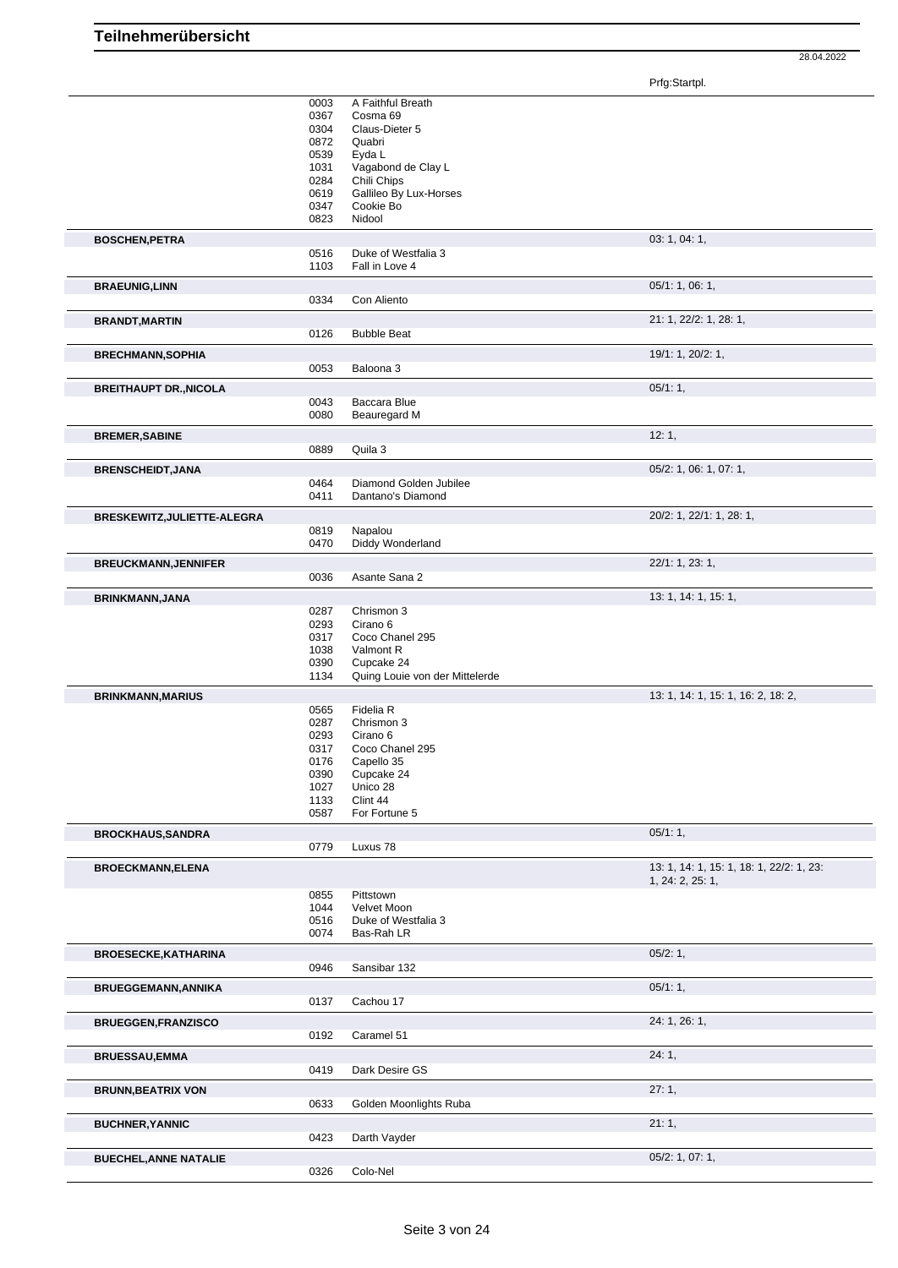Prfg:Startpl.

|                               | 0003         | A Faithful Breath                            |                                          |
|-------------------------------|--------------|----------------------------------------------|------------------------------------------|
|                               | 0367         | Cosma 69                                     |                                          |
|                               | 0304         | Claus-Dieter 5<br>Quabri                     |                                          |
|                               | 0872<br>0539 | Eyda L                                       |                                          |
|                               | 1031         | Vagabond de Clay L                           |                                          |
|                               | 0284         | Chili Chips                                  |                                          |
|                               | 0619         | Gallileo By Lux-Horses                       |                                          |
|                               | 0347         | Cookie Bo                                    |                                          |
|                               | 0823         | Nidool                                       |                                          |
| <b>BOSCHEN, PETRA</b>         |              |                                              | 03: 1, 04: 1,                            |
|                               | 0516         | Duke of Westfalia 3                          |                                          |
|                               | 1103         | Fall in Love 4                               |                                          |
| <b>BRAEUNIG, LINN</b>         |              |                                              | 05/1: 1, 06: 1,                          |
|                               | 0334         | Con Aliento                                  |                                          |
| <b>BRANDT, MARTIN</b>         |              |                                              | 21: 1, 22/2: 1, 28: 1,                   |
|                               | 0126         | <b>Bubble Beat</b>                           |                                          |
| <b>BRECHMANN, SOPHIA</b>      |              |                                              | 19/1: 1, 20/2: 1,                        |
|                               | 0053         | Baloona 3                                    |                                          |
| <b>BREITHAUPT DR., NICOLA</b> |              |                                              | 05/1:1,                                  |
|                               | 0043         | Baccara Blue                                 |                                          |
|                               | 0080         | Beauregard M                                 |                                          |
| <b>BREMER, SABINE</b>         |              |                                              | 12:1,                                    |
|                               | 0889         | Quila 3                                      |                                          |
| <b>BRENSCHEIDT, JANA</b>      |              |                                              | 05/2: 1, 06: 1, 07: 1,                   |
|                               | 0464         | Diamond Golden Jubilee                       |                                          |
|                               | 0411         | Dantano's Diamond                            |                                          |
| BRESKEWITZ, JULIETTE-ALEGRA   |              |                                              | 20/2: 1, 22/1: 1, 28: 1,                 |
|                               | 0819         | Napalou                                      |                                          |
|                               | 0470         | Diddy Wonderland                             |                                          |
| <b>BREUCKMANN, JENNIFER</b>   |              |                                              | 22/1: 1, 23: 1,                          |
|                               | 0036         | Asante Sana 2                                |                                          |
| <b>BRINKMANN, JANA</b>        |              |                                              | 13: 1, 14: 1, 15: 1,                     |
|                               | 0287         | Chrismon 3                                   |                                          |
|                               | 0293         | Cirano 6                                     |                                          |
|                               | 0317         | Coco Chanel 295                              |                                          |
|                               | 1038         | Valmont R                                    |                                          |
|                               | 0390<br>1134 | Cupcake 24<br>Quing Louie von der Mittelerde |                                          |
|                               |              |                                              |                                          |
| <b>BRINKMANN, MARIUS</b>      |              |                                              | 13: 1, 14: 1, 15: 1, 16: 2, 18: 2,       |
|                               | 0565<br>0287 | Fidelia R<br>Chrismon 3                      |                                          |
|                               | 0293         | Cirano 6                                     |                                          |
|                               | 0317         | Coco Chanel 295                              |                                          |
|                               | 0176         | Capello 35                                   |                                          |
|                               | 0390         | Cupcake 24                                   |                                          |
|                               | 1027         | Unico 28                                     |                                          |
|                               | 1133         | Clint 44                                     |                                          |
|                               | 0587         | For Fortune 5                                |                                          |
| <b>BROCKHAUS, SANDRA</b>      |              |                                              | 05/1:1,                                  |
|                               | 0779         | Luxus 78                                     |                                          |
| <b>BROECKMANN, ELENA</b>      |              |                                              | 13: 1, 14: 1, 15: 1, 18: 1, 22/2: 1, 23: |
|                               |              |                                              | 1, 24: 2, 25: 1,                         |
|                               | 0855         | Pittstown                                    |                                          |
|                               | 1044         | Velvet Moon                                  |                                          |
|                               | 0516<br>0074 | Duke of Westfalia 3<br>Bas-Rah LR            |                                          |
|                               |              |                                              |                                          |
| <b>BROESECKE, KATHARINA</b>   | 0946         | Sansibar 132                                 | 05/2:1,                                  |
|                               |              |                                              |                                          |
| <b>BRUEGGEMANN, ANNIKA</b>    |              |                                              | 05/1:1,                                  |
|                               | 0137         | Cachou 17                                    |                                          |
| <b>BRUEGGEN, FRANZISCO</b>    |              |                                              | 24: 1, 26: 1,                            |
|                               | 0192         | Caramel 51                                   |                                          |
| <b>BRUESSAU, EMMA</b>         |              |                                              | 24:1,                                    |
|                               | 0419         | Dark Desire GS                               |                                          |
| <b>BRUNN, BEATRIX VON</b>     |              |                                              | 27:1,                                    |
|                               | 0633         | Golden Moonlights Ruba                       |                                          |
| <b>BUCHNER, YANNIC</b>        |              |                                              | 21:1,                                    |
|                               | 0423         | Darth Vayder                                 |                                          |
| <b>BUECHEL, ANNE NATALIE</b>  |              |                                              | 05/2: 1, 07: 1,                          |
|                               |              | Colo-Nel                                     |                                          |
|                               | 0326         |                                              |                                          |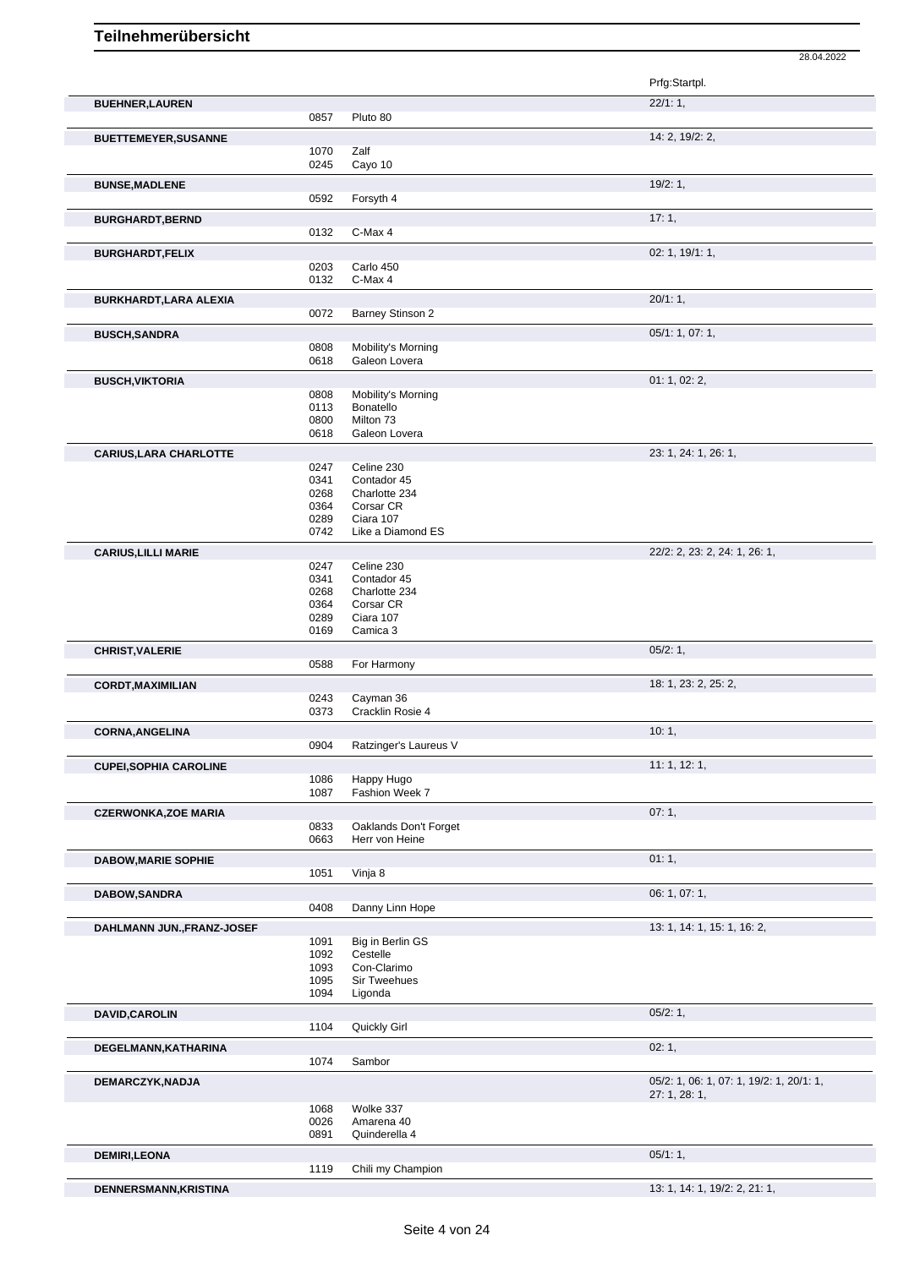|                               |              |                              | Prfg:Startpl.                            |
|-------------------------------|--------------|------------------------------|------------------------------------------|
| <b>BUEHNER, LAUREN</b>        |              |                              | 22/1:1,                                  |
|                               | 0857         | Pluto 80                     |                                          |
| <b>BUETTEMEYER, SUSANNE</b>   |              |                              | 14: 2, 19/2: 2,                          |
|                               | 1070         | Zalf                         |                                          |
|                               | 0245         | Cayo 10                      |                                          |
| <b>BUNSE, MADLENE</b>         |              |                              | 19/2:1,                                  |
|                               | 0592         | Forsyth 4                    |                                          |
| <b>BURGHARDT, BERND</b>       |              |                              | 17:1,                                    |
|                               | 0132         | C-Max 4                      |                                          |
| <b>BURGHARDT,FELIX</b>        |              |                              | 02: 1, 19/1: 1,                          |
|                               | 0203<br>0132 | Carlo 450<br>C-Max 4         |                                          |
|                               |              |                              |                                          |
| BURKHARDT, LARA ALEXIA        | 0072         | Barney Stinson 2             | 20/1:1,                                  |
|                               |              |                              | 05/1: 1, 07: 1,                          |
| <b>BUSCH, SANDRA</b>          | 0808         | Mobility's Morning           |                                          |
|                               | 0618         | Galeon Lovera                |                                          |
| <b>BUSCH, VIKTORIA</b>        |              |                              | 01: 1, 02: 2,                            |
|                               | 0808         | Mobility's Morning           |                                          |
|                               | 0113<br>0800 | Bonatello<br>Milton 73       |                                          |
|                               | 0618         | Galeon Lovera                |                                          |
| <b>CARIUS, LARA CHARLOTTE</b> |              |                              | 23: 1, 24: 1, 26: 1,                     |
|                               | 0247         | Celine 230                   |                                          |
|                               | 0341         | Contador 45                  |                                          |
|                               | 0268<br>0364 | Charlotte 234<br>Corsar CR   |                                          |
|                               | 0289         | Ciara 107                    |                                          |
|                               | 0742         | Like a Diamond ES            |                                          |
| <b>CARIUS, LILLI MARIE</b>    |              |                              | 22/2: 2, 23: 2, 24: 1, 26: 1,            |
|                               | 0247<br>0341 | Celine 230<br>Contador 45    |                                          |
|                               | 0268         | Charlotte 234                |                                          |
|                               | 0364         | Corsar CR                    |                                          |
|                               | 0289<br>0169 | Ciara 107<br>Camica 3        |                                          |
|                               |              |                              | 05/2:1,                                  |
| <b>CHRIST, VALERIE</b>        | 0588         | For Harmony                  |                                          |
| <b>CORDT, MAXIMILIAN</b>      |              |                              | 18: 1, 23: 2, 25: 2,                     |
|                               | 0243         | Cayman 36                    |                                          |
|                               | 0373         | Cracklin Rosie 4             |                                          |
| <b>CORNA, ANGELINA</b>        |              |                              | 10:1,                                    |
|                               |              | 0904 Ratzinger's Laureus V   |                                          |
| <b>CUPEI, SOPHIA CAROLINE</b> |              |                              | 11:1, 12:1,                              |
|                               | 1086<br>1087 | Happy Hugo<br>Fashion Week 7 |                                          |
|                               |              |                              |                                          |
| <b>CZERWONKA, ZOE MARIA</b>   | 0833         | Oaklands Don't Forget        | 07:1,                                    |
|                               | 0663         | Herr von Heine               |                                          |
| <b>DABOW, MARIE SOPHIE</b>    |              |                              | 01:1,                                    |
|                               | 1051         | Vinja 8                      |                                          |
| DABOW, SANDRA                 |              |                              | 06: 1, 07: 1,                            |
|                               | 0408         | Danny Linn Hope              |                                          |
| DAHLMANN JUN., FRANZ-JOSEF    |              |                              | 13: 1, 14: 1, 15: 1, 16: 2,              |
|                               | 1091         | Big in Berlin GS             |                                          |
|                               | 1092<br>1093 | Cestelle<br>Con-Clarimo      |                                          |
|                               | 1095         | Sir Tweehues                 |                                          |
|                               | 1094         | Ligonda                      |                                          |
| DAVID, CAROLIN                |              |                              | 05/2:1,                                  |
|                               | 1104         | Quickly Girl                 |                                          |
| DEGELMANN, KATHARINA          |              |                              | 02:1,                                    |
|                               | 1074         | Sambor                       |                                          |
| DEMARCZYK, NADJA              |              |                              | 05/2: 1, 06: 1, 07: 1, 19/2: 1, 20/1: 1, |
|                               | 1068         | Wolke 337                    | 27: 1, 28: 1,                            |
|                               | 0026         | Amarena 40                   |                                          |
|                               | 0891         | Quinderella 4                |                                          |

**DEMIRI,LEONA** 05/1: 1, 05/1: 1, 05/1: 1, 05/1: 1, 05/1: 1, 05/1: 1, 05/1: 1, 05/1: 1, 05/1: 1, 05/1: 1, 05/1: 1, 05/1: 1, 05/1: 1, 05/1: 05/1: 05/1: 05/1: 05/1: 05/1: 05/1: 05/1: 05/1: 05/1: 05/1: 05/1: 05/1: 05/1: 05/1:

**DENNERSMANN,KRISTINA** 13: 1, 14: 1, 19/2: 2, 21: 1,

28.04.2022

Chili my Champion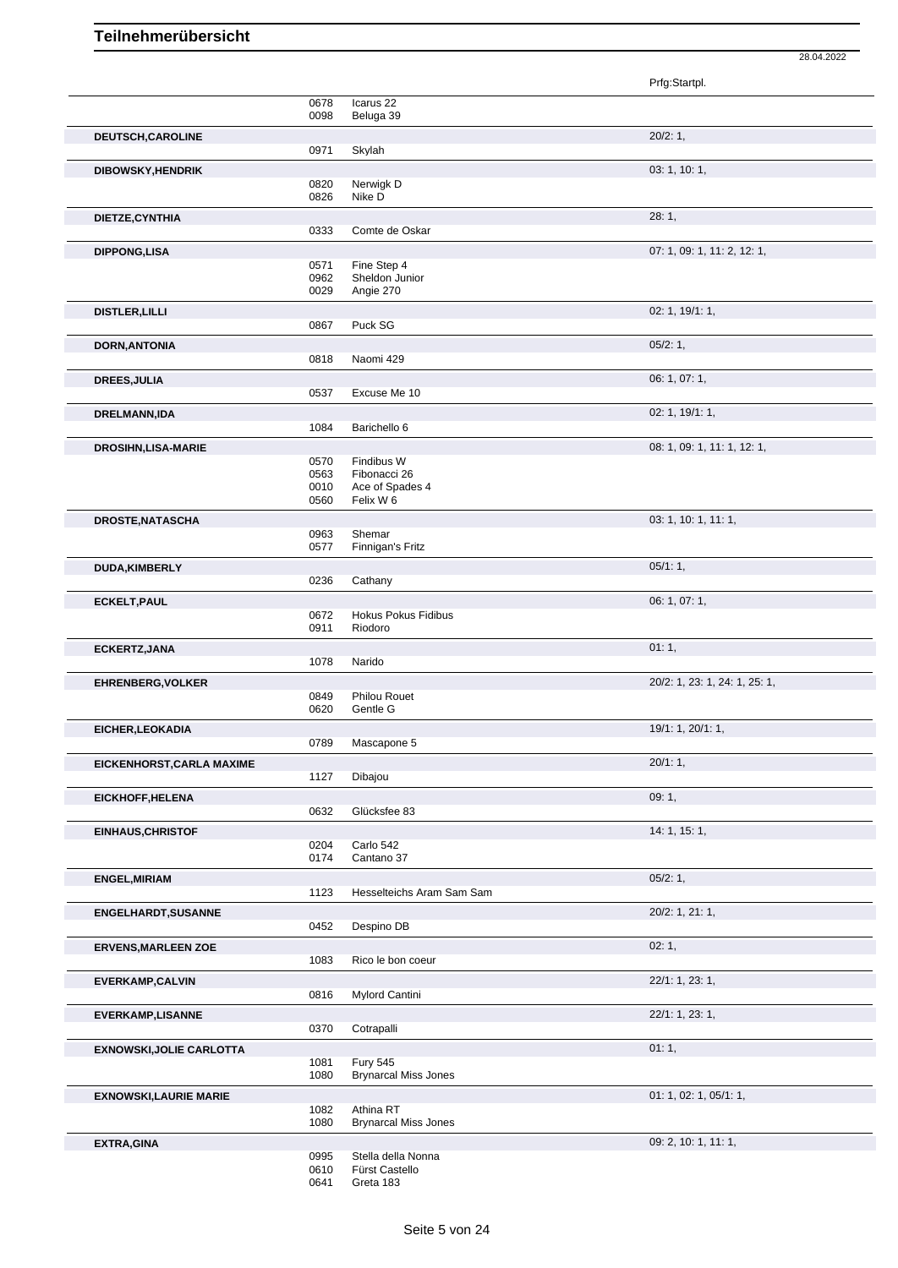|                                 |                      |                                                | Prfg:Startpl.                 |
|---------------------------------|----------------------|------------------------------------------------|-------------------------------|
|                                 | 0678                 | Icarus <sub>22</sub>                           |                               |
|                                 | 0098                 | Beluga 39                                      |                               |
| DEUTSCH, CAROLINE               | 0971                 | Skylah                                         | 20/2:1,                       |
| <b>DIBOWSKY, HENDRIK</b>        |                      |                                                | 03: 1, 10: 1,                 |
|                                 | 0820<br>0826         | Nerwigk D<br>Nike D                            |                               |
| DIETZE, CYNTHIA                 | 0333                 | Comte de Oskar                                 | 28:1,                         |
|                                 |                      |                                                |                               |
| <b>DIPPONG,LISA</b>             | 0571<br>0962<br>0029 | Fine Step 4<br>Sheldon Junior<br>Angie 270     | 07: 1, 09: 1, 11: 2, 12: 1,   |
| <b>DISTLER, LILLI</b>           |                      |                                                | 02: 1, 19/1: 1,               |
|                                 | 0867                 | Puck SG                                        |                               |
| <b>DORN, ANTONIA</b>            | 0818                 | Naomi 429                                      | 05/2:1,                       |
| <b>DREES, JULIA</b>             |                      |                                                | 06: 1, 07: 1,                 |
|                                 | 0537                 | Excuse Me 10                                   |                               |
| DRELMANN, IDA                   | 1084                 | Barichello 6                                   | 02: 1, 19/1: 1,               |
|                                 |                      |                                                | 08: 1, 09: 1, 11: 1, 12: 1,   |
| <b>DROSIHN,LISA-MARIE</b>       | 0570                 | Findibus W                                     |                               |
|                                 | 0563<br>0010<br>0560 | Fibonacci 26<br>Ace of Spades 4<br>Felix W 6   |                               |
| DROSTE, NATASCHA                |                      |                                                | 03: 1, 10: 1, 11: 1,          |
|                                 | 0963<br>0577         | Shemar<br>Finnigan's Fritz                     |                               |
| DUDA, KIMBERLY                  |                      |                                                | 05/1:1,                       |
|                                 | 0236                 | Cathany                                        |                               |
| ECKELT, PAUL                    | 0672<br>0911         | <b>Hokus Pokus Fidibus</b><br>Riodoro          | 06: 1, 07: 1,                 |
| ECKERTZ, JANA                   |                      |                                                | 01:1,                         |
|                                 | 1078                 | Narido                                         |                               |
| <b>EHRENBERG, VOLKER</b>        |                      |                                                | 20/2: 1, 23: 1, 24: 1, 25: 1, |
|                                 | 0849<br>0620         | <b>Philou Rouet</b><br>Gentle G                |                               |
| EICHER, LEOKADIA                |                      |                                                | 19/1: 1, 20/1: 1,             |
|                                 | 0789                 | Mascapone 5                                    |                               |
| EICKENHORST, CARLA MAXIME       | 1127                 | Dibajou                                        | 20/1:1,                       |
| EICKHOFF, HELENA                |                      |                                                | 09:1,                         |
|                                 | 0632                 | Glücksfee 83                                   |                               |
| <b>EINHAUS, CHRISTOF</b>        | 0204<br>0174         | Carlo 542<br>Cantano 37                        | 14: 1, 15: 1,                 |
| <b>ENGEL, MIRIAM</b>            | 1123                 | Hesselteichs Aram Sam Sam                      | 05/2:1,                       |
| <b>ENGELHARDT, SUSANNE</b>      |                      |                                                | 20/2: 1, 21: 1,               |
|                                 | 0452                 | Despino DB                                     |                               |
| <b>ERVENS, MARLEEN ZOE</b>      | 1083                 | Rico le bon coeur                              | 02:1,                         |
| <b>EVERKAMP, CALVIN</b>         |                      |                                                | 22/1: 1, 23: 1,               |
|                                 | 0816                 | Mylord Cantini                                 |                               |
| <b>EVERKAMP,LISANNE</b>         | 0370                 | Cotrapalli                                     | 22/1: 1, 23: 1,               |
| <b>EXNOWSKI, JOLIE CARLOTTA</b> |                      |                                                | 01:1,                         |
|                                 | 1081<br>1080         | <b>Fury 545</b><br><b>Brynarcal Miss Jones</b> |                               |
| <b>EXNOWSKI, LAURIE MARIE</b>   |                      |                                                | 01: 1, 02: 1, 05/1: 1,        |
|                                 | 1082                 | Athina RT                                      |                               |
|                                 | 1080                 | <b>Brynarcal Miss Jones</b>                    |                               |
| <b>EXTRA, GINA</b>              | 0995<br>0610         | Stella della Nonna<br>Fürst Castello           | 09: 2, 10: 1, 11: 1,          |
|                                 | 0641                 | Greta 183                                      |                               |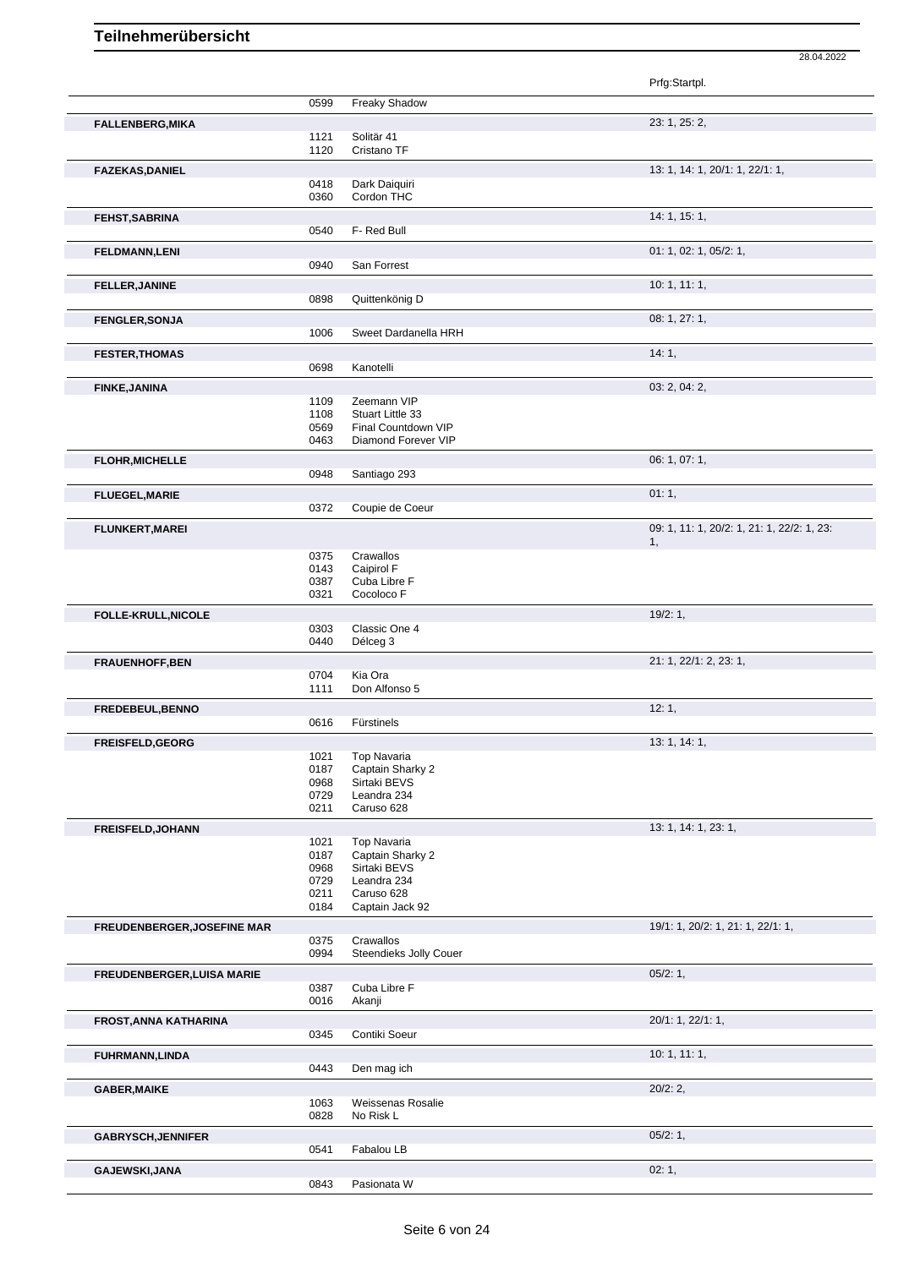Prfg:Startpl. 0599 Freaky Shadow **FALLENBERG,MIKA** 23: 1, 25: 2, 1121 Solitär 41<br>1120 Cristano Cristano TF **FAZEKAS,DANIEL** 22/1: 1, 22/1: 1, 22/1: 1, 22/1: 1, 22/1: 1, 22/1: 1, 22/1: 1, 22/1: 1, 22/1: 1, 22/1: 1, 22/1: 1, 22/1: 1, 22/1: 1, 22/1: 1, 22/1: 1, 22/1: 1, 22/1: 1, 22/1: 1, 22/1: 1, 22/1: 1, 22/1: 1, 22/1: 1, 22/1: 1 Dark Daiguiri 0360 Cordon THC **FEHST,SABRINA** 14: 1, 15: 1, 0540 F- Red Bull **FELDMANN,LENI** 01: 1, 02: 1, 05/2: 1, 0940 San Forrest **FELLER,JANINE** 10: 1, 11: 1, 0898 Ouittenkönig D Quittenkönig D **FENGLER,SONJA** 08: 1, 27: 1,<br>
1006 Sweet Dardanella HRH Sweet Dardanella HRH **FESTER,THOMAS** 14: 1, 20098 Kanotelli 20098 Kanotelli 20098 Kanotelli 20098 Kanotelli 20098 Kanotelli 20098 Kanotelli 20098 Kanotelli 20098 Kanotelli 20098 Kanotelli 20098 Kanotelli 20098 Kanotelli 20098 Kanotelli 20098 K Kanotelli **FINKE,JANINA** 03: 2, 04: 2, 1109 Zeemann VIP<br>1108 Stuart Little 33 1108 Stuart Little 33<br>0569 Final Countdov 0569 Final Countdown VIP<br>0463 Diamond Forever VIP Diamond Forever VIP **FLOHR, MICHELLE** 06: 1, 07: 1, 07: 1, 0948 Santiago 293 Santiago 293 **FLUEGEL, MARIE** 01: 1, 0372 Coupie de Coeur Coupie de Coeur **FLUNKERT,MAREI** 09: 1, 11: 1, 20/2: 1, 21: 1, 22/2: 1, 23: 1, 0375 Crawallos 0143 Caipirol F 0387 Cuba Libre F 0321 Cocoloco F **FOLLE-KRULL,NICOLE** 19/2: 1, 0303 Classic One 4<br>0440 Délceg 3 Délceg 3 **FRAUENHOFF,BEN** 21: 1, 22/1: 2, 23: 1, 0704 Kia Ora<br>1111 Don Alfo Don Alfonso 5 **FREDEBEUL,BENNO** 12: 1, Fürstinels **FREISFELD,GEORG** 13: 1, 14: 1, 1921 Top Navaria 1021 Top Navaria<br>0187 Captain Sha 0187 Captain Sharky 2<br>0968 Sirtaki BEVS 0968 Sirtaki BEVS<br>0729 Leandra 234 0729 Leandra 234<br>0211 Caruso 628 Caruso 628 **FREISFELD,JOHANN** 13: 1, 14: 1, 23: 1, 1021 Top Navaria<br>0187 Captain Sha 0187 Captain Sharky 2<br>0968 Sirtaki BEVS Sirtaki BEVS 0729 Leandra 234<br>0211 Caruso 628 Caruso 628 0184 Captain Jack 92 **FREUDENBERGER,JOSEFINE MAR** 19/1: 1, 20/2: 1, 21: 1, 22/1: 1, 0375 Crawallos 0994 Steendieks Jolly Couer **FREUDENBERGER, LUISA MARIE** 0387 Cuba Libre F<br>0387 Cuba Libre F 0387 Cuba Libre F<br>0016 Akanji Akanji **FROST,ANNA KATHARINA** 20/1: 1, 22/1: 1, 22/1: 1, 22/1: 1, 22/1: 1, 22/1: 1, 22/1: 1, 22/1: 1, 22/1: 1, 22/1: 1, 22/1: 1, 22/1: 1, 22/1: 1, 22/1: 2, 20/1: 2, 20/1: 1, 22/1: 1, 20/1: 2, 20/1: 2, 20/1: 2, 20/1: 2, 20/1: 2, 2 Contiki Soeur **FUHRMANN,LINDA** 10: 1, 11: 1, Den mag ich **GABER,MAIKE** 20/2: 2, 1063 Weissenas Rosalie<br>0828 No Risk L No Risk L GABRYSCH,JENNIFER 05/2: 1,<br>
05/2: 1, 05/2: 1, 05/2: 1, 05/2: 1, 05/2: 1, 05/2: 1, 05/2: 1, 05/2: 1, 05/2: 1, 05/2: 1, 05/2: 1, 05/2: 1, 05/2: 1, 05/2: 1, 05/2: 1, 05/2: 1, 05/2: 05/2: 05/2: 05/2: 05/2: 05/2: 05/2: 05/2: 05 Fabalou LB **GAJEWSKI,JANA** 02: 1, 0843 Pasionata W 0843 Pasionata W 02: 1,

28.04.2022

Pasionata W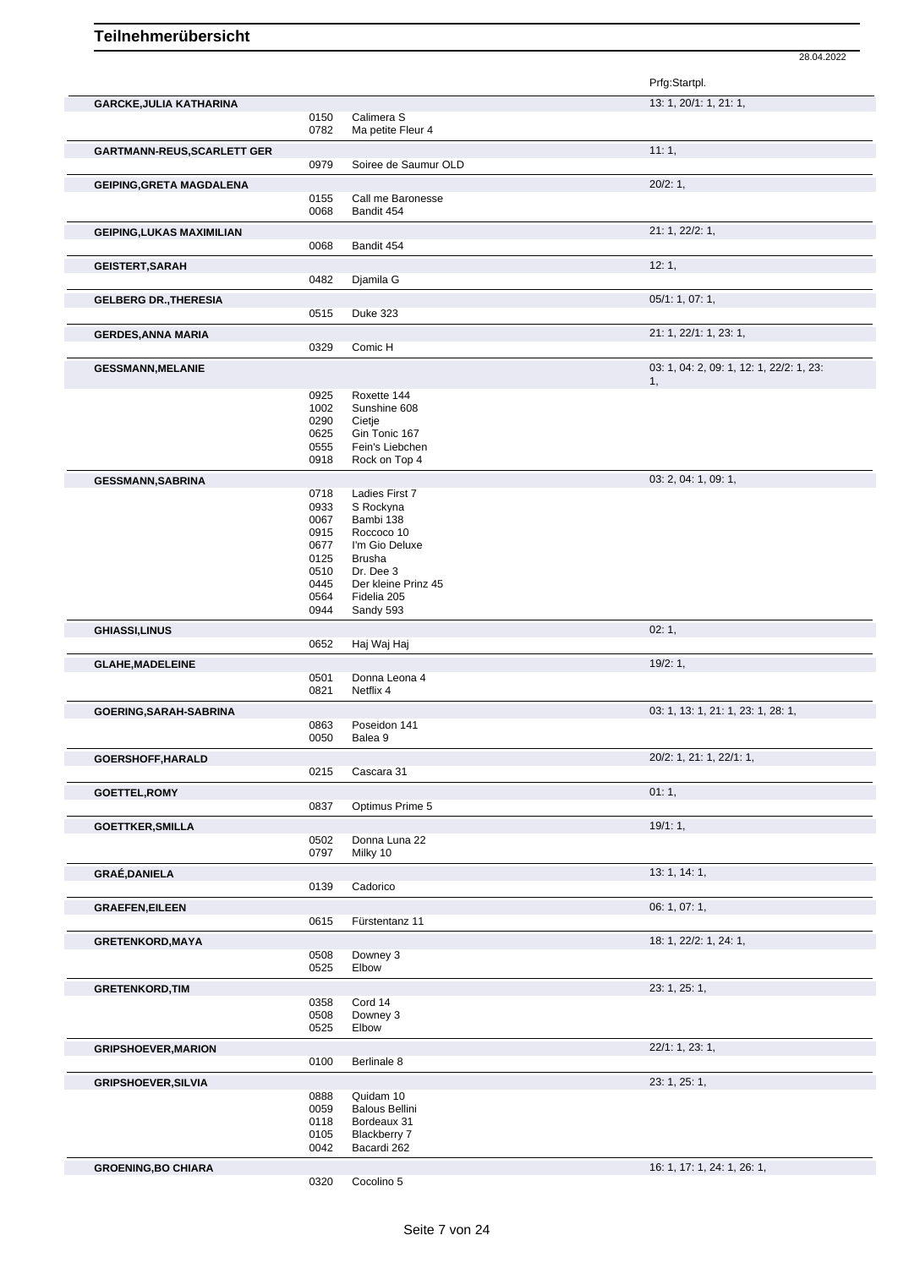|                                                                                                                                                                                                                                                                      |              |                                      | Prfg:Startpl.                            |
|----------------------------------------------------------------------------------------------------------------------------------------------------------------------------------------------------------------------------------------------------------------------|--------------|--------------------------------------|------------------------------------------|
| <b>GARCKE, JULIA KATHARINA</b>                                                                                                                                                                                                                                       |              |                                      | 13: 1, 20/1: 1, 21: 1,                   |
|                                                                                                                                                                                                                                                                      | 0150<br>0782 | Calimera S<br>Ma petite Fleur 4      |                                          |
|                                                                                                                                                                                                                                                                      |              |                                      |                                          |
| <b>GARTMANN-REUS, SCARLETT GER</b>                                                                                                                                                                                                                                   | 0979         | Soiree de Saumur OLD                 | 11:1,                                    |
|                                                                                                                                                                                                                                                                      |              |                                      |                                          |
| <b>GEIPING, GRETA MAGDALENA</b>                                                                                                                                                                                                                                      |              |                                      | 20/2:1,                                  |
|                                                                                                                                                                                                                                                                      | 0155<br>0068 | Call me Baronesse<br>Bandit 454      |                                          |
|                                                                                                                                                                                                                                                                      |              |                                      |                                          |
| <b>GEIPING, LUKAS MAXIMILIAN</b>                                                                                                                                                                                                                                     |              |                                      | 21: 1, 22/2: 1,                          |
|                                                                                                                                                                                                                                                                      | 0068         | Bandit 454                           |                                          |
| <b>GEISTERT, SARAH</b>                                                                                                                                                                                                                                               |              |                                      | 12:1,                                    |
|                                                                                                                                                                                                                                                                      | 0482         | Djamila G                            |                                          |
| <b>GELBERG DR., THERESIA</b>                                                                                                                                                                                                                                         |              |                                      | 05/1: 1, 07: 1,                          |
|                                                                                                                                                                                                                                                                      | 0515         | <b>Duke 323</b>                      |                                          |
| <b>GERDES, ANNA MARIA</b>                                                                                                                                                                                                                                            |              |                                      | 21: 1, 22/1: 1, 23: 1,                   |
|                                                                                                                                                                                                                                                                      | 0329         | Comic H                              |                                          |
| <b>GESSMANN, MELANIE</b>                                                                                                                                                                                                                                             |              |                                      | 03: 1, 04: 2, 09: 1, 12: 1, 22/2: 1, 23: |
|                                                                                                                                                                                                                                                                      |              |                                      | 1,                                       |
|                                                                                                                                                                                                                                                                      | 0925<br>1002 | Roxette 144<br>Sunshine 608          |                                          |
|                                                                                                                                                                                                                                                                      | 0290         | Cietje                               |                                          |
|                                                                                                                                                                                                                                                                      | 0625         | Gin Tonic 167                        |                                          |
|                                                                                                                                                                                                                                                                      | 0555         | Fein's Liebchen                      |                                          |
|                                                                                                                                                                                                                                                                      | 0918         | Rock on Top 4                        |                                          |
| <b>GESSMANN, SABRINA</b>                                                                                                                                                                                                                                             |              |                                      | 03: 2, 04: 1, 09: 1,                     |
|                                                                                                                                                                                                                                                                      | 0718         | Ladies First 7                       |                                          |
|                                                                                                                                                                                                                                                                      | 0933<br>0067 | S Rockyna<br>Bambi 138               |                                          |
|                                                                                                                                                                                                                                                                      | 0915         | Roccoco 10                           |                                          |
|                                                                                                                                                                                                                                                                      | 0677         | I'm Gio Deluxe                       |                                          |
|                                                                                                                                                                                                                                                                      | 0125         | <b>Brusha</b>                        |                                          |
|                                                                                                                                                                                                                                                                      | 0510         | Dr. Dee 3                            |                                          |
|                                                                                                                                                                                                                                                                      | 0445         | Der kleine Prinz 45                  |                                          |
|                                                                                                                                                                                                                                                                      | 0564         | Fidelia 205                          |                                          |
|                                                                                                                                                                                                                                                                      | 0944         | Sandy 593                            |                                          |
| <b>GHIASSI, LINUS</b>                                                                                                                                                                                                                                                | 0652         | Haj Waj Haj                          | 02:1,                                    |
|                                                                                                                                                                                                                                                                      |              |                                      | 19/2:1,                                  |
| <b>GLAHE, MADELEINE</b>                                                                                                                                                                                                                                              | 0501         | Donna Leona 4                        |                                          |
|                                                                                                                                                                                                                                                                      | 0821         | Netflix 4                            |                                          |
| GOERING, SARAH-SABRINA                                                                                                                                                                                                                                               |              |                                      | 03: 1, 13: 1, 21: 1, 23: 1, 28: 1,       |
|                                                                                                                                                                                                                                                                      |              | Poseidon 141                         |                                          |
|                                                                                                                                                                                                                                                                      | 0863         |                                      |                                          |
|                                                                                                                                                                                                                                                                      | 0050         | Balea 9                              |                                          |
|                                                                                                                                                                                                                                                                      |              |                                      | 20/2: 1, 21: 1, 22/1: 1,                 |
|                                                                                                                                                                                                                                                                      | 0215         | Cascara 31                           |                                          |
|                                                                                                                                                                                                                                                                      |              |                                      | 01:1,                                    |
|                                                                                                                                                                                                                                                                      | 0837         | Optimus Prime 5                      |                                          |
|                                                                                                                                                                                                                                                                      |              |                                      | 19/1:1,                                  |
|                                                                                                                                                                                                                                                                      | 0502<br>0797 | Donna Luna 22<br>Milky 10            |                                          |
|                                                                                                                                                                                                                                                                      |              |                                      |                                          |
|                                                                                                                                                                                                                                                                      | 0139         | Cadorico                             | 13: 1, 14: 1,                            |
|                                                                                                                                                                                                                                                                      |              |                                      | 06: 1, 07: 1,                            |
|                                                                                                                                                                                                                                                                      | 0615         | Fürstentanz 11                       |                                          |
|                                                                                                                                                                                                                                                                      |              |                                      | 18: 1, 22/2: 1, 24: 1,                   |
|                                                                                                                                                                                                                                                                      | 0508         | Downey 3                             |                                          |
|                                                                                                                                                                                                                                                                      | 0525         | Elbow                                |                                          |
|                                                                                                                                                                                                                                                                      |              |                                      | 23: 1, 25: 1,                            |
|                                                                                                                                                                                                                                                                      | 0358         | Cord 14                              |                                          |
|                                                                                                                                                                                                                                                                      | 0508         | Downey 3                             |                                          |
|                                                                                                                                                                                                                                                                      | 0525         | Elbow                                |                                          |
|                                                                                                                                                                                                                                                                      |              |                                      | 22/1: 1, 23: 1,                          |
|                                                                                                                                                                                                                                                                      | 0100         | Berlinale 8                          |                                          |
|                                                                                                                                                                                                                                                                      |              |                                      | 23: 1, 25: 1,                            |
|                                                                                                                                                                                                                                                                      | 0888         | Quidam 10                            |                                          |
|                                                                                                                                                                                                                                                                      | 0059<br>0118 | <b>Balous Bellini</b><br>Bordeaux 31 |                                          |
|                                                                                                                                                                                                                                                                      | 0105         | Blackberry 7                         |                                          |
|                                                                                                                                                                                                                                                                      | 0042         | Bacardi 262                          |                                          |
| GOERSHOFF, HARALD<br><b>GOETTEL, ROMY</b><br><b>GOETTKER, SMILLA</b><br><b>GRAÉ,DANIELA</b><br><b>GRAEFEN, EILEEN</b><br><b>GRETENKORD, MAYA</b><br><b>GRETENKORD, TIM</b><br><b>GRIPSHOEVER, MARION</b><br><b>GRIPSHOEVER, SILVIA</b><br><b>GROENING, BO CHIARA</b> |              |                                      | 16: 1, 17: 1, 24: 1, 26: 1,              |

Cocolino 5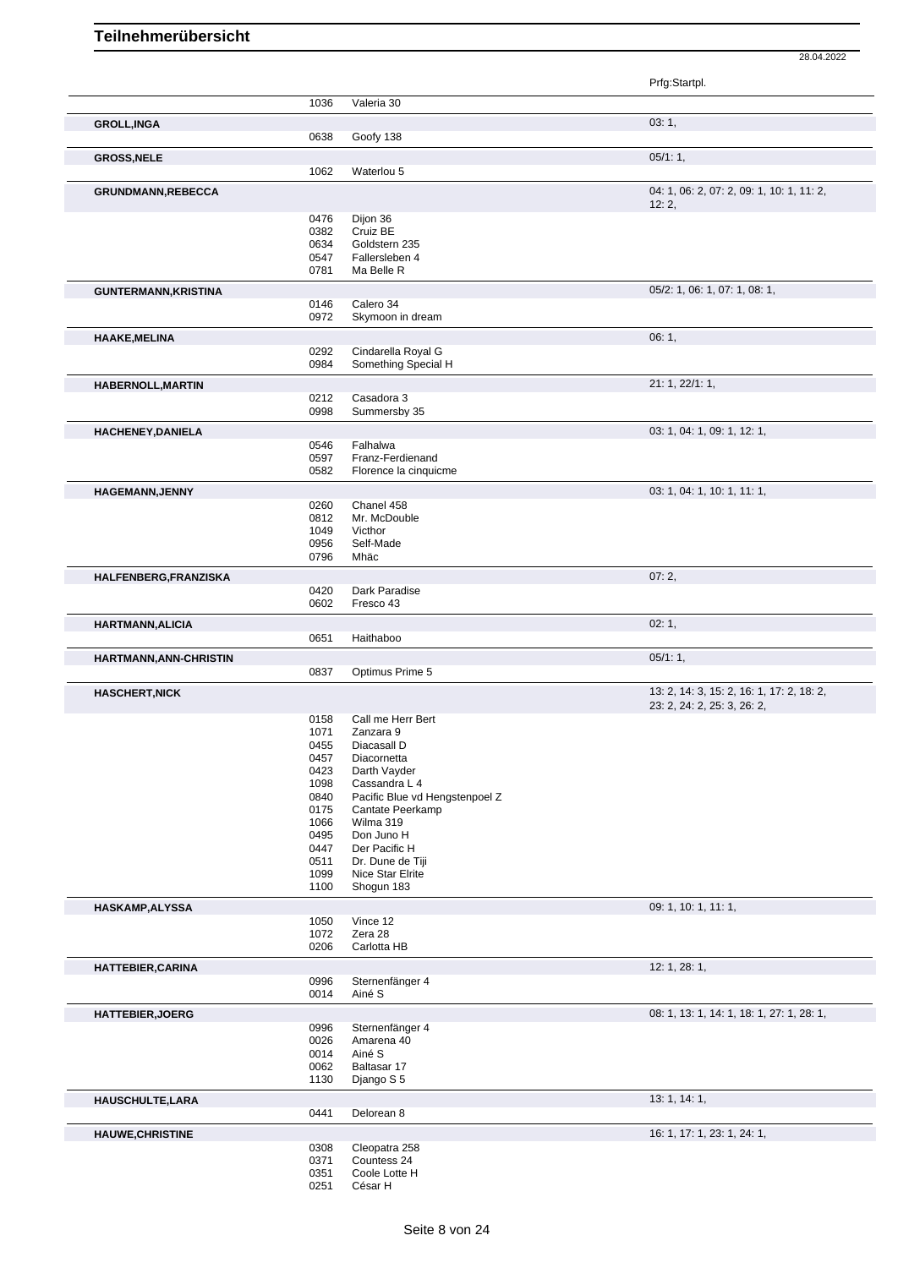|                             |              |                                | Prfg:Startpl.                             |
|-----------------------------|--------------|--------------------------------|-------------------------------------------|
|                             | 1036         | Valeria 30                     |                                           |
| <b>GROLL, INGA</b>          | 0638         | Goofy 138                      | 03:1,                                     |
| <b>GROSS, NELE</b>          |              |                                | 05/1:1,                                   |
|                             | 1062         | Waterlou 5                     |                                           |
| <b>GRUNDMANN,REBECCA</b>    |              |                                | 04: 1, 06: 2, 07: 2, 09: 1, 10: 1, 11: 2, |
|                             | 0476         | Dijon 36                       | 12:2,                                     |
|                             | 0382         | Cruiz BE                       |                                           |
|                             | 0634         | Goldstern 235                  |                                           |
|                             | 0547<br>0781 | Fallersleben 4<br>Ma Belle R   |                                           |
|                             |              |                                | 05/2: 1, 06: 1, 07: 1, 08: 1,             |
| <b>GUNTERMANN, KRISTINA</b> | 0146         | Calero 34                      |                                           |
|                             | 0972         | Skymoon in dream               |                                           |
| <b>HAAKE, MELINA</b>        |              |                                | 06:1,                                     |
|                             | 0292         | Cindarella Royal G             |                                           |
|                             | 0984         | Something Special H            |                                           |
| <b>HABERNOLL, MARTIN</b>    |              |                                | 21: 1, 22/1: 1,                           |
|                             | 0212         | Casadora 3                     |                                           |
|                             | 0998         | Summersby 35                   |                                           |
| <b>HACHENEY, DANIELA</b>    | 0546         | Falhalwa                       | 03: 1, 04: 1, 09: 1, 12: 1,               |
|                             | 0597         | Franz-Ferdienand               |                                           |
|                             | 0582         | Florence la cinquicme          |                                           |
| <b>HAGEMANN, JENNY</b>      |              |                                | 03: 1, 04: 1, 10: 1, 11: 1,               |
|                             | 0260         | Chanel 458                     |                                           |
|                             | 0812         | Mr. McDouble                   |                                           |
|                             | 1049<br>0956 | Victhor<br>Self-Made           |                                           |
|                             | 0796         | Mhäc                           |                                           |
| HALFENBERG, FRANZISKA       |              |                                | 07:2,                                     |
|                             | 0420         | Dark Paradise                  |                                           |
|                             | 0602         | Fresco 43                      |                                           |
| <b>HARTMANN, ALICIA</b>     |              |                                | 02:1,                                     |
|                             | 0651         | Haithaboo                      |                                           |
| HARTMANN, ANN-CHRISTIN      | 0837         | Optimus Prime 5                | 05/1:1,                                   |
| <b>HASCHERT, NICK</b>       |              |                                | 13: 2, 14: 3, 15: 2, 16: 1, 17: 2, 18: 2, |
|                             |              |                                | 23: 2, 24: 2, 25: 3, 26: 2,               |
|                             | 0158         | Call me Herr Bert              |                                           |
|                             | 1071         | Zanzara 9                      |                                           |
|                             | 0455<br>0457 | Diacasall D<br>Diacornetta     |                                           |
|                             | 0423         | Darth Vayder                   |                                           |
|                             | 1098         | Cassandra L 4                  |                                           |
|                             | 0840         | Pacific Blue vd Hengstenpoel Z |                                           |
|                             | 0175<br>1066 | Cantate Peerkamp<br>Wilma 319  |                                           |
|                             | 0495         | Don Juno H                     |                                           |
|                             | 0447         | Der Pacific H                  |                                           |
|                             | 0511         | Dr. Dune de Tiji               |                                           |
|                             | 1099<br>1100 | Nice Star Elrite<br>Shogun 183 |                                           |
|                             |              |                                |                                           |
| <b>HASKAMP, ALYSSA</b>      | 1050         | Vince 12                       | 09: 1, 10: 1, 11: 1,                      |
|                             | 1072         | Zera 28                        |                                           |
|                             | 0206         | Carlotta HB                    |                                           |
| HATTEBIER, CARINA           |              |                                | 12: 1, 28: 1,                             |
|                             | 0996         | Sternenfänger 4                |                                           |
|                             | 0014         | Ainé S                         |                                           |
| <b>HATTEBIER, JOERG</b>     |              |                                | 08: 1, 13: 1, 14: 1, 18: 1, 27: 1, 28: 1, |
|                             | 0996<br>0026 | Sternenfänger 4<br>Amarena 40  |                                           |
|                             | 0014         | Ainé S                         |                                           |
|                             | 0062         | Baltasar 17                    |                                           |
|                             | 1130         | Django S 5                     |                                           |
| HAUSCHULTE, LARA            |              |                                | 13:1, 14:1,                               |
|                             | 0441         | Delorean 8                     |                                           |
| <b>HAUWE, CHRISTINE</b>     |              |                                | 16: 1, 17: 1, 23: 1, 24: 1,               |
|                             | 0308<br>0371 | Cleopatra 258<br>Countess 24   |                                           |
|                             | 0351         | Coole Lotte H                  |                                           |
|                             | 0251         | César H                        |                                           |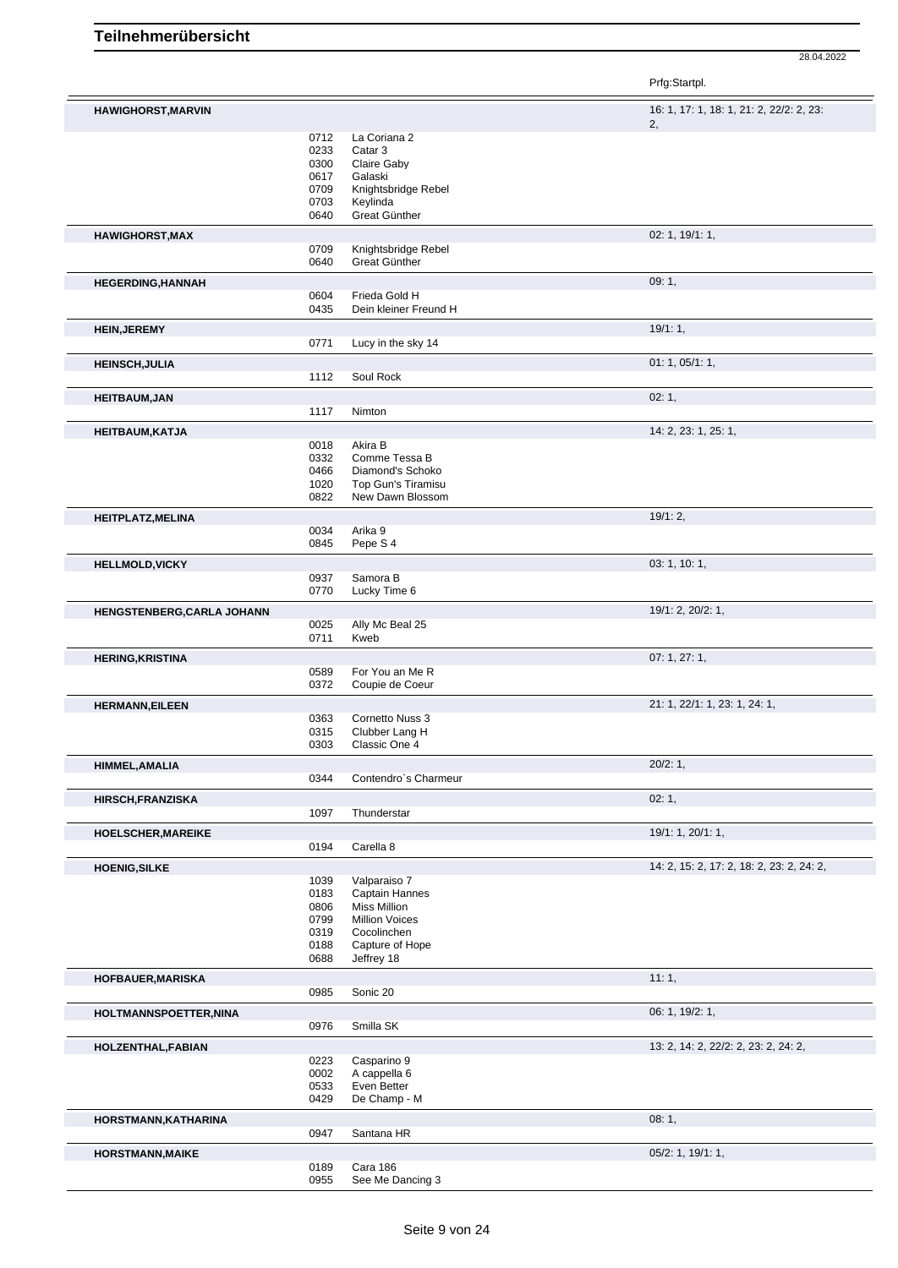|                            |              |                                        | Prfg:Startpl.                             |
|----------------------------|--------------|----------------------------------------|-------------------------------------------|
| <b>HAWIGHORST, MARVIN</b>  |              |                                        | 16: 1, 17: 1, 18: 1, 21: 2, 22/2: 2, 23:  |
|                            |              |                                        | 2 <sub>1</sub>                            |
|                            | 0712<br>0233 | La Coriana 2<br>Catar 3                |                                           |
|                            | 0300         | Claire Gaby                            |                                           |
|                            | 0617         | Galaski                                |                                           |
|                            | 0709         | Knightsbridge Rebel                    |                                           |
|                            | 0703<br>0640 | Keylinda<br>Great Günther              |                                           |
|                            |              |                                        |                                           |
| <b>HAWIGHORST, MAX</b>     |              | Knightsbridge Rebel                    | 02: 1, 19/1: 1,                           |
|                            | 0709<br>0640 | Great Günther                          |                                           |
| <b>HEGERDING, HANNAH</b>   |              |                                        | 09:1,                                     |
|                            | 0604         | Frieda Gold H                          |                                           |
|                            | 0435         | Dein kleiner Freund H                  |                                           |
| <b>HEIN, JEREMY</b>        |              |                                        | 19/1:1,                                   |
|                            | 0771         | Lucy in the sky 14                     |                                           |
| <b>HEINSCH, JULIA</b>      |              |                                        | 01: 1, 05/1: 1,                           |
|                            | 1112         | Soul Rock                              |                                           |
| <b>HEITBAUM, JAN</b>       |              |                                        | 02:1,                                     |
|                            | 1117         | Nimton                                 |                                           |
| <b>HEITBAUM, KATJA</b>     |              |                                        | 14: 2, 23: 1, 25: 1,                      |
|                            | 0018         | Akira B                                |                                           |
|                            | 0332         | Comme Tessa B                          |                                           |
|                            | 0466         | Diamond's Schoko                       |                                           |
|                            | 1020<br>0822 | Top Gun's Tiramisu<br>New Dawn Blossom |                                           |
|                            |              |                                        |                                           |
| HEITPLATZ, MELINA          | 0034         | Arika 9                                | 19/1:2,                                   |
|                            | 0845         | Pepe S 4                               |                                           |
|                            |              |                                        | 03: 1, 10: 1,                             |
| <b>HELLMOLD, VICKY</b>     | 0937         | Samora B                               |                                           |
|                            | 0770         | Lucky Time 6                           |                                           |
| HENGSTENBERG, CARLA JOHANN |              |                                        | 19/1: 2, 20/2: 1,                         |
|                            | 0025         | Ally Mc Beal 25                        |                                           |
|                            | 0711         | Kweb                                   |                                           |
| <b>HERING, KRISTINA</b>    |              |                                        | 07:1,27:1,                                |
|                            | 0589         | For You an Me R                        |                                           |
|                            | 0372         | Coupie de Coeur                        |                                           |
| <b>HERMANN, EILEEN</b>     |              |                                        | 21: 1, 22/1: 1, 23: 1, 24: 1,             |
|                            | 0363<br>0315 | Cornetto Nuss 3<br>Clubber Lang H      |                                           |
|                            | 0303         | Classic One 4                          |                                           |
|                            |              |                                        | 20/2:1,                                   |
| <b>HIMMEL, AMALIA</b>      | 0344         | Contendro's Charmeur                   |                                           |
| <b>HIRSCH,FRANZISKA</b>    |              |                                        | 02:1,                                     |
|                            | 1097         | Thunderstar                            |                                           |
| <b>HOELSCHER, MAREIKE</b>  |              |                                        | 19/1: 1, 20/1: 1,                         |
|                            | 0194         | Carella 8                              |                                           |
| <b>HOENIG, SILKE</b>       |              |                                        | 14: 2, 15: 2, 17: 2, 18: 2, 23: 2, 24: 2, |
|                            | 1039         | Valparaiso 7                           |                                           |
|                            | 0183         | Captain Hannes                         |                                           |
|                            | 0806         | <b>Miss Million</b>                    |                                           |
|                            | 0799         | <b>Million Voices</b>                  |                                           |
|                            | 0319<br>0188 | Cocolinchen<br>Capture of Hope         |                                           |
|                            | 0688         | Jeffrey 18                             |                                           |
| <b>HOFBAUER, MARISKA</b>   |              |                                        | 11:1,                                     |
|                            | 0985         | Sonic 20                               |                                           |
|                            |              |                                        | 06: 1, 19/2: 1,                           |
| HOLTMANNSPOETTER, NINA     | 0976         | Smilla SK                              |                                           |
|                            |              |                                        |                                           |
| HOLZENTHAL, FABIAN         | 0223         | Casparino 9                            | 13: 2, 14: 2, 22/2: 2, 23: 2, 24: 2,      |
|                            | 0002         | A cappella 6                           |                                           |
|                            | 0533         | Even Better                            |                                           |
|                            | 0429         | De Champ - M                           |                                           |
| HORSTMANN, KATHARINA       |              |                                        | 08:1,                                     |
|                            | 0947         | Santana HR                             |                                           |
| <b>HORSTMANN, MAIKE</b>    |              |                                        | 05/2: 1, 19/1: 1,                         |
|                            | 0189         | Cara 186                               |                                           |
|                            | 0955         | See Me Dancing 3                       |                                           |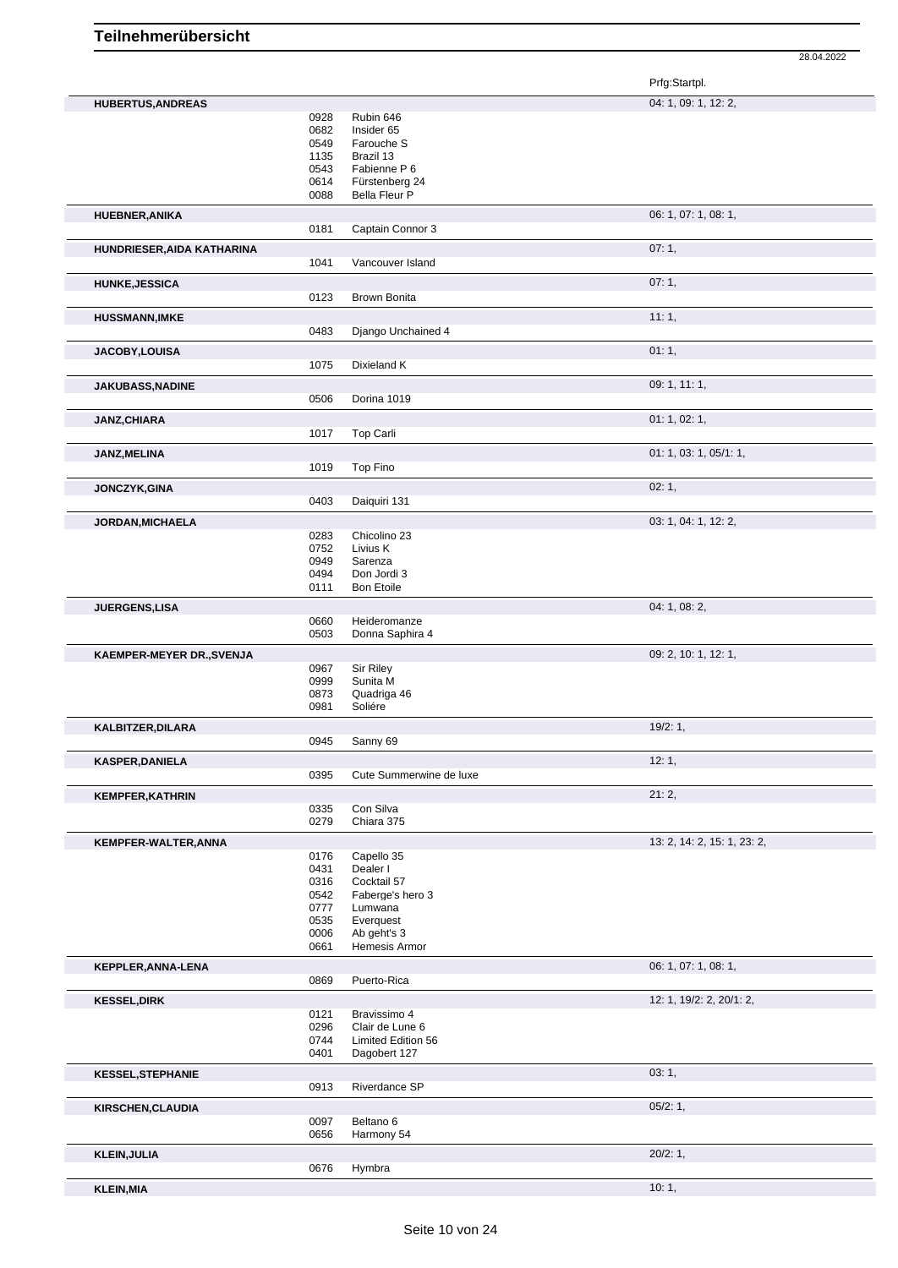28.04.2022

Prfg:Startpl.

| <b>HUBERTUS, ANDREAS</b>   |              |                              | 04: 1, 09: 1, 12: 2,        |
|----------------------------|--------------|------------------------------|-----------------------------|
|                            | 0928         | Rubin 646                    |                             |
|                            | 0682         | Insider 65                   |                             |
|                            | 0549         | Farouche S                   |                             |
|                            | 1135         | Brazil 13                    |                             |
|                            | 0543         | Fabienne P 6                 |                             |
|                            | 0614         | Fürstenberg 24               |                             |
|                            | 0088         | Bella Fleur P                |                             |
| <b>HUEBNER, ANIKA</b>      |              |                              | 06: 1, 07: 1, 08: 1,        |
|                            | 0181         | Captain Connor 3             |                             |
| HUNDRIESER, AIDA KATHARINA |              |                              | 07:1,                       |
|                            | 1041         | Vancouver Island             |                             |
|                            |              |                              |                             |
| <b>HUNKE, JESSICA</b>      |              |                              | 07:1,                       |
|                            | 0123         | <b>Brown Bonita</b>          |                             |
| <b>HUSSMANN, IMKE</b>      |              |                              | 11:1,                       |
|                            | 0483         | Django Unchained 4           |                             |
| JACOBY, LOUISA             |              |                              | 01:1,                       |
|                            | 1075         | Dixieland K                  |                             |
|                            |              |                              |                             |
| <b>JAKUBASS, NADINE</b>    |              |                              | 09: 1, 11: 1,               |
|                            | 0506         | Dorina 1019                  |                             |
| JANZ, CHIARA               |              |                              | 01: 1, 02: 1,               |
|                            | 1017         | Top Carli                    |                             |
|                            |              |                              | 01: 1, 03: 1, 05/1: 1,      |
| JANZ, MELINA               | 1019         | Top Fino                     |                             |
|                            |              |                              |                             |
| JONCZYK, GINA              |              |                              | 02:1,                       |
|                            | 0403         | Daiquiri 131                 |                             |
| <b>JORDAN, MICHAELA</b>    |              |                              | 03: 1, 04: 1, 12: 2,        |
|                            | 0283         | Chicolino 23                 |                             |
|                            | 0752         | Livius K                     |                             |
|                            | 0949         | Sarenza                      |                             |
|                            | 0494         | Don Jordi 3                  |                             |
|                            | 0111         | <b>Bon Etoile</b>            |                             |
| JUERGENS,LISA              |              |                              | 04: 1, 08: 2,               |
|                            | 0660         | Heideromanze                 |                             |
|                            | 0503         | Donna Saphira 4              |                             |
|                            |              |                              |                             |
|                            |              |                              |                             |
| KAEMPER-MEYER DR., SVENJA  | 0967         |                              | 09: 2, 10: 1, 12: 1,        |
|                            | 0999         | Sir Riley<br>Sunita M        |                             |
|                            | 0873         | Quadriga 46                  |                             |
|                            | 0981         | Soliére                      |                             |
|                            |              |                              | 19/2:1,                     |
| KALBITZER, DILARA          | 0945         | Sanny 69                     |                             |
|                            |              |                              |                             |
| <b>KASPER, DANIELA</b>     |              |                              | 12:1,                       |
|                            | 0395         | Cute Summerwine de luxe      |                             |
| <b>KEMPFER, KATHRIN</b>    |              |                              | 21:2,                       |
|                            | 0335         | Con Silva                    |                             |
|                            | 0279         | Chiara 375                   |                             |
| KEMPFER-WALTER, ANNA       |              |                              | 13: 2, 14: 2, 15: 1, 23: 2, |
|                            | 0176         | Capello 35                   |                             |
|                            | 0431         | Dealer I                     |                             |
|                            | 0316         | Cocktail 57                  |                             |
|                            | 0542         | Faberge's hero 3             |                             |
|                            | 0777         | Lumwana                      |                             |
|                            | 0535<br>0006 | Everquest                    |                             |
|                            | 0661         | Ab geht's 3<br>Hemesis Armor |                             |
|                            |              |                              |                             |
| KEPPLER, ANNA-LENA         |              |                              | 06: 1, 07: 1, 08: 1,        |
|                            | 0869         | Puerto-Rica                  |                             |
| <b>KESSEL, DIRK</b>        |              |                              | 12: 1, 19/2: 2, 20/1: 2,    |
|                            | 0121         | Bravissimo 4                 |                             |
|                            | 0296         | Clair de Lune 6              |                             |
|                            | 0744         | Limited Edition 56           |                             |
|                            | 0401         | Dagobert 127                 |                             |
| <b>KESSEL, STEPHANIE</b>   |              |                              | 03:1,                       |
|                            | 0913         | Riverdance SP                |                             |
|                            |              |                              |                             |
| KIRSCHEN, CLAUDIA          | 0097         | Beltano <sub>6</sub>         | 05/2:1,                     |
|                            | 0656         | Harmony 54                   |                             |
|                            |              |                              |                             |
| <b>KLEIN, JULIA</b>        |              |                              | 20/2:1,                     |
| <b>KLEIN, MIA</b>          | 0676         | Hymbra                       | 10:1,                       |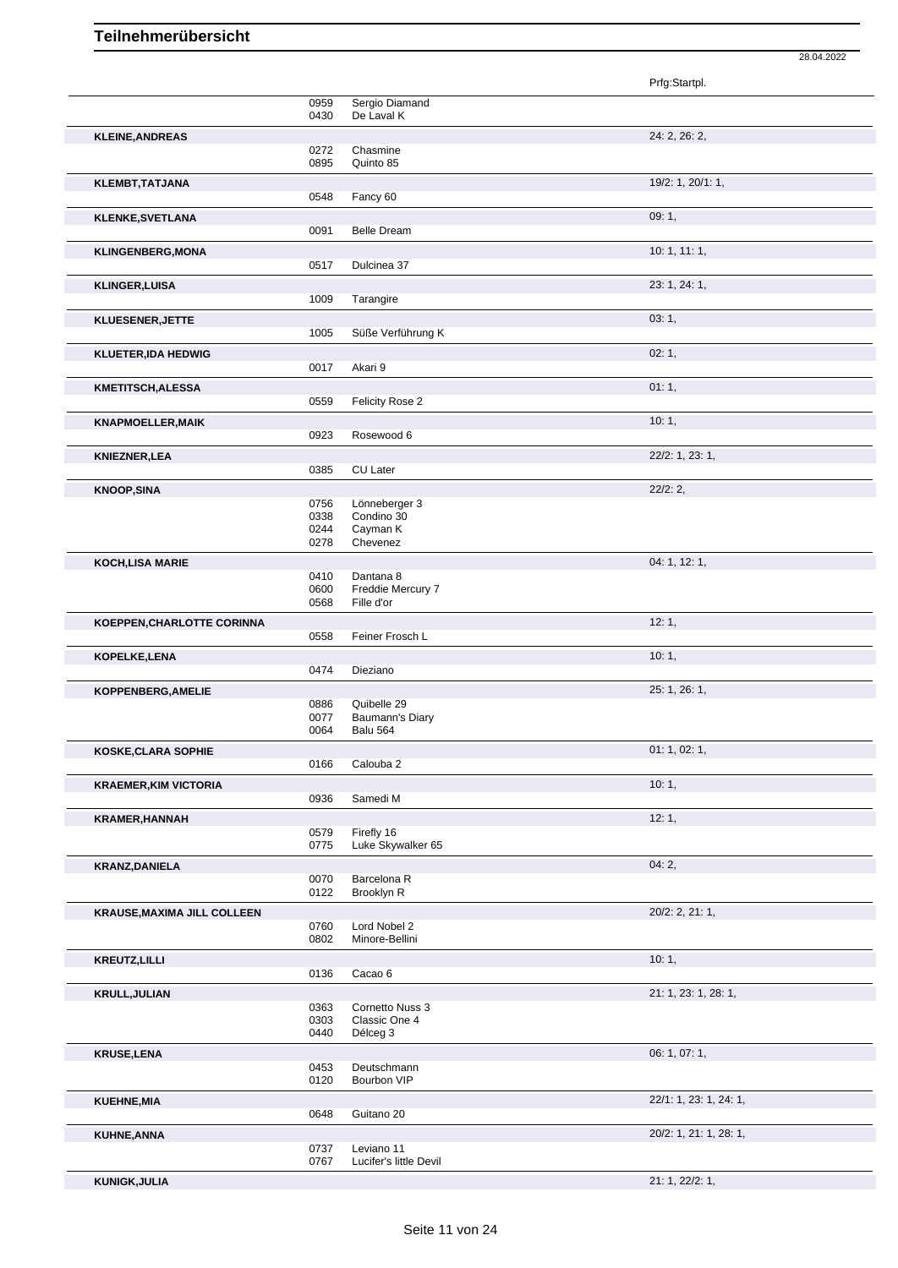|                                    |              |                                  | 28.04.2022             |
|------------------------------------|--------------|----------------------------------|------------------------|
|                                    |              |                                  | Prfg:Startpl.          |
|                                    | 0959<br>0430 | Sergio Diamand<br>De Laval K     |                        |
| <b>KLEINE, ANDREAS</b>             |              |                                  | 24: 2, 26: 2,          |
|                                    | 0272         | Chasmine                         |                        |
|                                    | 0895         | Quinto 85                        |                        |
| KLEMBT, TATJANA                    | 0548         | Fancy 60                         | 19/2: 1, 20/1: 1,      |
| <b>KLENKE, SVETLANA</b>            |              |                                  | 09:1,                  |
|                                    | 0091         | <b>Belle Dream</b>               |                        |
| <b>KLINGENBERG, MONA</b>           |              |                                  | 10: 1, 11: 1,          |
|                                    | 0517         | Dulcinea 37                      |                        |
| <b>KLINGER, LUISA</b>              |              |                                  | 23: 1, 24: 1,          |
|                                    | 1009         | Tarangire                        |                        |
| KLUESENER, JETTE                   | 1005         | Süße Verführung K                | 03:1,                  |
| <b>KLUETER, IDA HEDWIG</b>         |              |                                  | 02:1,                  |
|                                    | 0017         | Akari 9                          |                        |
| KMETITSCH, ALESSA                  |              |                                  | 01:1,                  |
|                                    | 0559         | Felicity Rose 2                  |                        |
| <b>KNAPMOELLER, MAIK</b>           | 0923         | Rosewood 6                       | 10:1,                  |
|                                    |              |                                  |                        |
| <b>KNIEZNER, LEA</b>               | 0385         | <b>CU Later</b>                  | 22/2: 1, 23: 1,        |
| <b>KNOOP, SINA</b>                 |              |                                  | 22/2:2,                |
|                                    | 0756         | Lönneberger 3                    |                        |
|                                    | 0338<br>0244 | Condino 30<br>Cayman K           |                        |
|                                    | 0278         | Chevenez                         |                        |
| <b>KOCH, LISA MARIE</b>            |              |                                  | 04: 1, 12: 1,          |
|                                    | 0410<br>0600 | Dantana 8<br>Freddie Mercury 7   |                        |
|                                    | 0568         | Fille d'or                       |                        |
| KOEPPEN, CHARLOTTE CORINNA         |              |                                  | 12:1,                  |
|                                    | 0558         | Feiner Frosch L                  |                        |
| KOPELKE, LENA                      | 0474         | Dieziano                         | 10:1,                  |
| KOPPENBERG, AMELIE                 |              |                                  | 25: 1, 26: 1,          |
|                                    | 0886         | Quibelle 29                      |                        |
|                                    | 0077         | Baumann's Diary                  |                        |
|                                    | 0064         | Balu 564                         | 01: 1, 02: 1,          |
| <b>KOSKE, CLARA SOPHIE</b>         | 0166         | Calouba 2                        |                        |
| <b>KRAEMER, KIM VICTORIA</b>       |              |                                  | 10:1,                  |
|                                    | 0936         | Samedi M                         |                        |
| <b>KRAMER, HANNAH</b>              |              |                                  | 12:1,                  |
|                                    | 0579<br>0775 | Firefly 16<br>Luke Skywalker 65  |                        |
| <b>KRANZ, DANIELA</b>              |              |                                  | 04:2,                  |
|                                    | 0070         | Barcelona R                      |                        |
|                                    | 0122         | Brooklyn R                       |                        |
| <b>KRAUSE, MAXIMA JILL COLLEEN</b> |              | Lord Nobel 2                     | $20/2$ : 2, 21: 1,     |
|                                    | 0760<br>0802 | Minore-Bellini                   |                        |
| <b>KREUTZ, LILLI</b>               |              |                                  | 10:1,                  |
|                                    | 0136         | Cacao 6                          |                        |
| <b>KRULL, JULIAN</b>               |              |                                  | 21: 1, 23: 1, 28: 1,   |
|                                    | 0363<br>0303 | Cornetto Nuss 3<br>Classic One 4 |                        |
|                                    | 0440         | Délceg 3                         |                        |
| <b>KRUSE, LENA</b>                 |              |                                  | 06: 1, 07: 1,          |
|                                    | 0453<br>0120 | Deutschmann<br>Bourbon VIP       |                        |
| <b>KUEHNE, MIA</b>                 |              |                                  | 22/1: 1, 23: 1, 24: 1, |
|                                    | 0648         | Guitano 20                       |                        |
| <b>KUHNE, ANNA</b>                 |              |                                  | 20/2: 1, 21: 1, 28: 1, |
|                                    | 0737         | Leviano 11                       |                        |
|                                    | 0767         | Lucifer's little Devil           |                        |
| <b>KUNIGK, JULIA</b>               |              |                                  | 21: 1, 22/2: 1,        |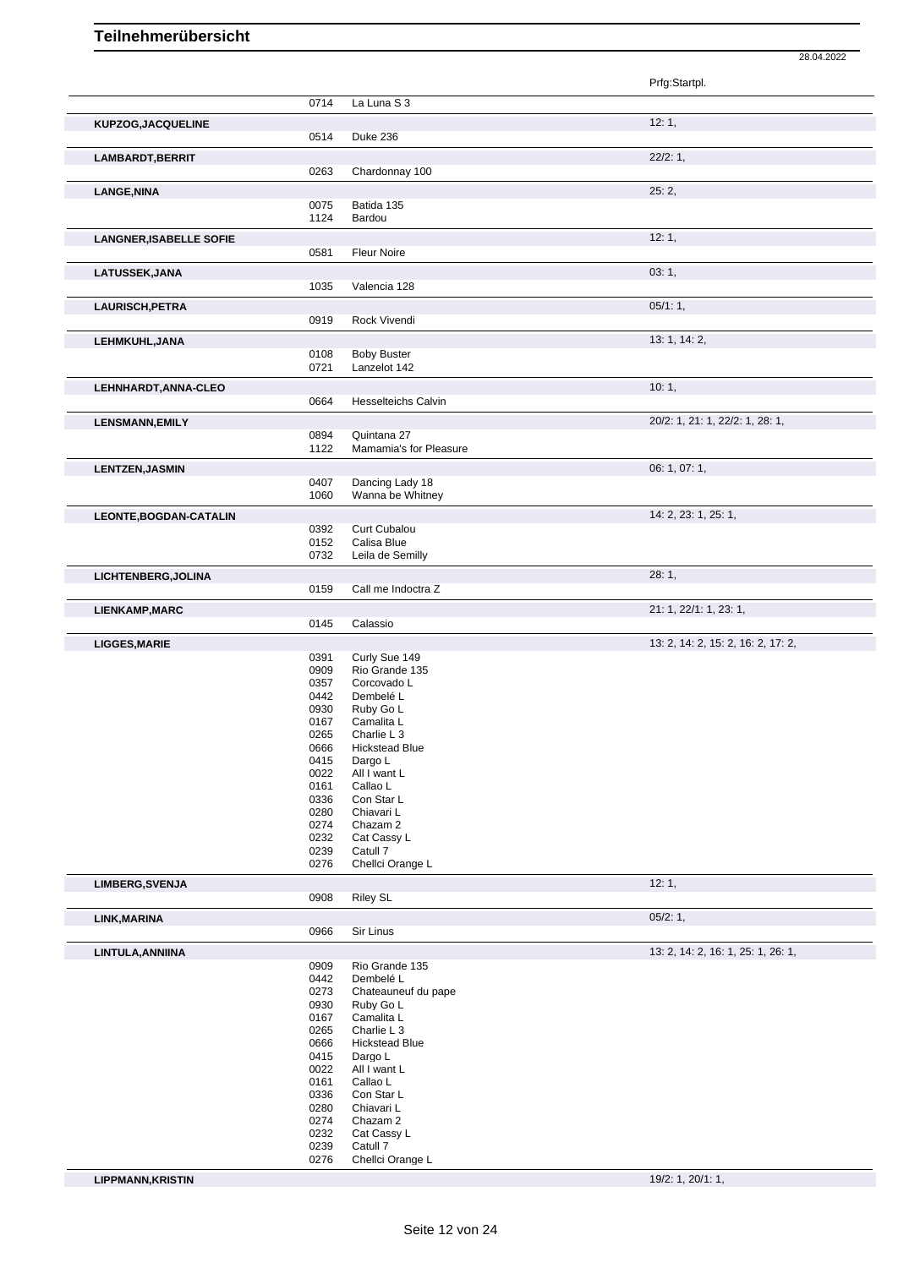|                                |              |                                 | 28.04.2022                         |
|--------------------------------|--------------|---------------------------------|------------------------------------|
|                                |              |                                 | Prfg:Startpl.                      |
|                                | 0714         | La Luna S 3                     |                                    |
|                                |              |                                 |                                    |
| KUPZOG, JACQUELINE             |              |                                 | 12:1,                              |
|                                | 0514         | Duke 236                        |                                    |
| LAMBARDT, BERRIT               |              |                                 | 22/2:1                             |
|                                | 0263         | Chardonnay 100                  |                                    |
| <b>LANGE, NINA</b>             |              |                                 | 25:2,                              |
|                                | 0075<br>1124 | Batida 135<br>Bardou            |                                    |
|                                |              |                                 |                                    |
| <b>LANGNER, ISABELLE SOFIE</b> | 0581         | <b>Fleur Noire</b>              | 12:1,                              |
|                                |              |                                 |                                    |
| LATUSSEK, JANA                 | 1035         | Valencia 128                    | 03:1,                              |
|                                |              |                                 |                                    |
| LAURISCH, PETRA                | 0919         | Rock Vivendi                    | 05/1:1,                            |
|                                |              |                                 |                                    |
| LEHMKUHL, JANA                 | 0108         | <b>Boby Buster</b>              | 13: 1, 14: 2,                      |
|                                | 0721         | Lanzelot 142                    |                                    |
| LEHNHARDT, ANNA-CLEO           |              |                                 | 10:1,                              |
|                                | 0664         | <b>Hesselteichs Calvin</b>      |                                    |
|                                |              |                                 | 20/2: 1, 21: 1, 22/2: 1, 28: 1,    |
| <b>LENSMANN, EMILY</b>         | 0894         | Quintana 27                     |                                    |
|                                | 1122         | Mamamia's for Pleasure          |                                    |
| <b>LENTZEN, JASMIN</b>         |              |                                 | 06: 1, 07: 1,                      |
|                                | 0407         | Dancing Lady 18                 |                                    |
|                                | 1060         | Wanna be Whitney                |                                    |
| LEONTE, BOGDAN-CATALIN         |              |                                 | 14: 2, 23: 1, 25: 1,               |
|                                | 0392         | Curt Cubalou                    |                                    |
|                                | 0152<br>0732 | Calisa Blue                     |                                    |
|                                |              | Leila de Semilly                |                                    |
| LICHTENBERG, JOLINA            |              |                                 | 28:1,                              |
|                                | 0159         | Call me Indoctra Z              |                                    |
| <b>LIENKAMP,MARC</b>           |              |                                 | 21: 1, 22/1: 1, 23: 1,             |
|                                | 0145         | Calassio                        |                                    |
| <b>LIGGES, MARIE</b>           |              |                                 | 13: 2, 14: 2, 15: 2, 16: 2, 17: 2, |
|                                | 0391<br>0909 | Curly Sue 149<br>Rio Grande 135 |                                    |
|                                | 0357         | Corcovado L                     |                                    |
|                                | 0442         | Dembelé L                       |                                    |
|                                | 0930         | Ruby Go L                       |                                    |
|                                | 0167         | Camalita L                      |                                    |
|                                | 0265         | Charlie L <sub>3</sub>          |                                    |
|                                | 0666         | <b>Hickstead Blue</b>           |                                    |
|                                | 0415         | Dargo L                         |                                    |
|                                | 0022         | All I want L                    |                                    |
|                                | 0161         | Callao L                        |                                    |
|                                | 0336         | Con Star L                      |                                    |
|                                | 0280         | Chiavari L                      |                                    |
|                                | 0274         | Chazam 2                        |                                    |
|                                | 0232         | Cat Cassy L                     |                                    |
|                                | 0239         | Catull 7                        |                                    |
|                                | 0276         | Chellci Orange L                |                                    |
| LIMBERG, SVENJA                |              |                                 | 12:1,                              |
|                                | 0908         | <b>Riley SL</b>                 |                                    |
| LINK, MARINA                   |              |                                 | 05/2:1,                            |
|                                | 0966         | Sir Linus                       |                                    |
| LINTULA, ANNIINA               |              |                                 | 13: 2, 14: 2, 16: 1, 25: 1, 26: 1, |
|                                | 0909         | Rio Grande 135                  |                                    |
|                                | 0442         | Dembelé L                       |                                    |
|                                | 0273         | Chateauneuf du pape             |                                    |
|                                | 0930         | Ruby Go L                       |                                    |
|                                | 0167         | Camalita L                      |                                    |
|                                | 0265         | Charlie L 3                     |                                    |
|                                | 0666         | <b>Hickstead Blue</b>           |                                    |
|                                | 0415         | Dargo L                         |                                    |
|                                | 0022         | All I want L                    |                                    |
|                                | 0161         | Callao L                        |                                    |
|                                | 0336<br>0280 | Con Star L<br>Chiavari L        |                                    |
|                                | 0274         | Chazam 2                        |                                    |
|                                | 0232         | Cat Cassy L                     |                                    |
|                                | 0239         | Catull 7                        |                                    |
|                                | 0276         | Chellci Orange L                |                                    |

**LIPPMANN,KRISTIN** 19/2: 1, 20/1: 1,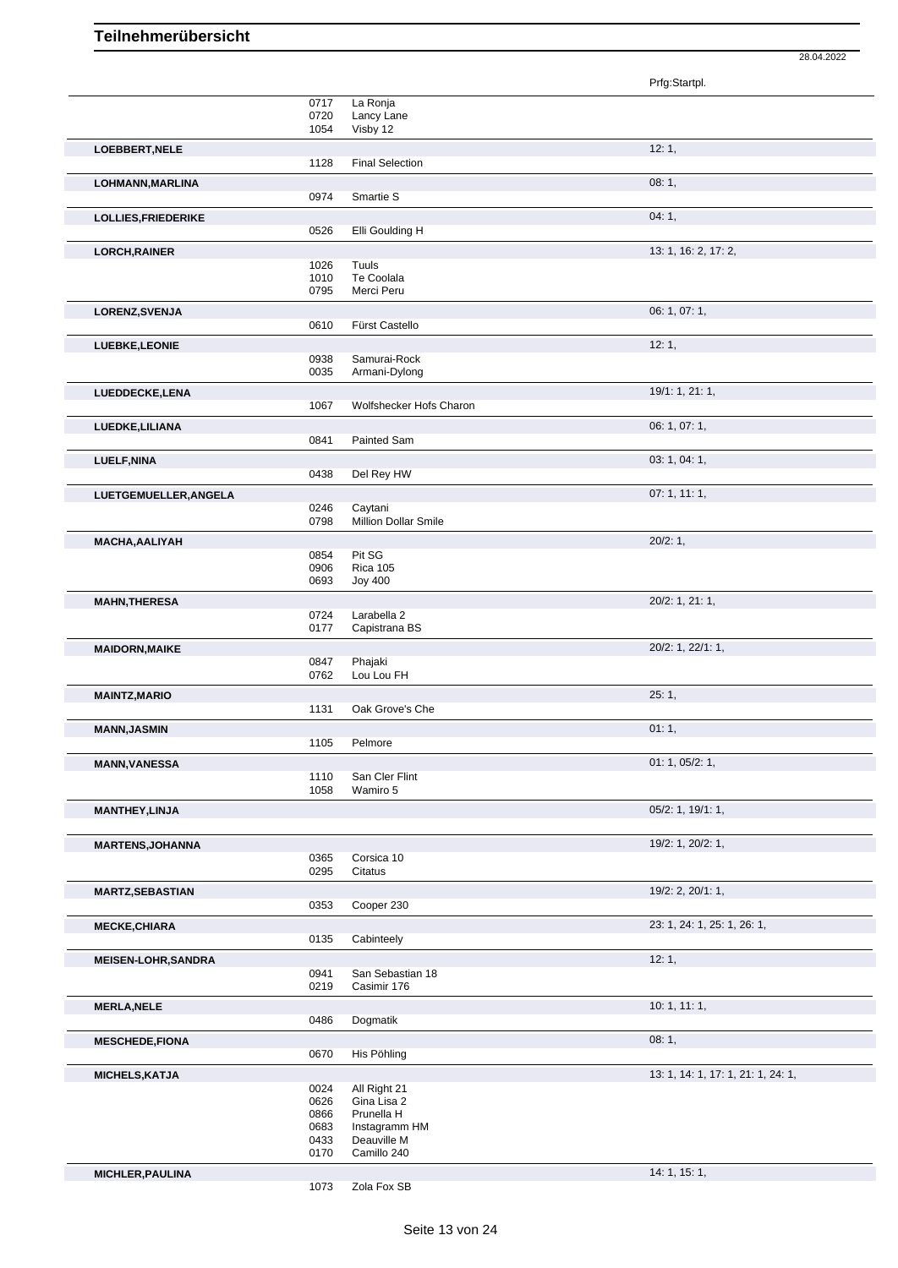|                            |              |                             | Prfg:Startpl.                      |
|----------------------------|--------------|-----------------------------|------------------------------------|
|                            | 0717         | La Ronja                    |                                    |
|                            | 0720         | Lancy Lane                  |                                    |
|                            | 1054         | Visby 12                    |                                    |
| LOEBBERT, NELE             |              |                             | 12:1,                              |
|                            | 1128         | <b>Final Selection</b>      |                                    |
| LOHMANN, MARLINA           |              |                             | 08:1,                              |
|                            | 0974         | Smartie S                   |                                    |
| LOLLIES, FRIEDERIKE        |              |                             | 04:1,                              |
|                            | 0526         | Elli Goulding H             |                                    |
|                            |              |                             | 13: 1, 16: 2, 17: 2,               |
| <b>LORCH, RAINER</b>       | 1026         | Tuuls                       |                                    |
|                            | 1010         | Te Coolala                  |                                    |
|                            | 0795         | Merci Peru                  |                                    |
| LORENZ, SVENJA             |              |                             | 06: 1, 07: 1,                      |
|                            | 0610         | Fürst Castello              |                                    |
| LUEBKE, LEONIE             |              |                             | 12:1,                              |
|                            | 0938         | Samurai-Rock                |                                    |
|                            | 0035         | Armani-Dylong               |                                    |
| LUEDDECKE,LENA             |              |                             | 19/1: 1, 21: 1,                    |
|                            | 1067         | Wolfshecker Hofs Charon     |                                    |
| LUEDKE, LILIANA            |              |                             | 06: 1, 07: 1,                      |
|                            | 0841         | Painted Sam                 |                                    |
|                            |              |                             | 03: 1, 04: 1,                      |
| <b>LUELF, NINA</b>         | 0438         | Del Rey HW                  |                                    |
|                            |              |                             |                                    |
| LUETGEMUELLER, ANGELA      | 0246         | Caytani                     | 07:1, 11:1,                        |
|                            | 0798         | <b>Million Dollar Smile</b> |                                    |
|                            |              |                             |                                    |
| <b>MACHA, AALIYAH</b>      | 0854         | Pit SG                      | 20/2:1,                            |
|                            | 0906         | <b>Rica 105</b>             |                                    |
|                            | 0693         | <b>Joy 400</b>              |                                    |
| <b>MAHN, THERESA</b>       |              |                             | 20/2: 1, 21: 1,                    |
|                            | 0724         | Larabella 2                 |                                    |
|                            | 0177         | Capistrana BS               |                                    |
| <b>MAIDORN, MAIKE</b>      |              |                             | 20/2: 1, 22/1: 1,                  |
|                            | 0847         | Phajaki                     |                                    |
|                            | 0762         | Lou Lou FH                  |                                    |
| <b>MAINTZ, MARIO</b>       |              |                             | 25:1,                              |
|                            | 1131         | Oak Grove's Che             |                                    |
| <b>MANN, JASMIN</b>        |              |                             | 01:1,                              |
|                            | 1105         | Pelmore                     |                                    |
| <b>MANN, VANESSA</b>       |              |                             | 01: 1, 05/2: 1,                    |
|                            | 1110         | San Cler Flint              |                                    |
|                            | 1058         | Wamiro 5                    |                                    |
| <b>MANTHEY, LINJA</b>      |              |                             | 05/2: 1, 19/1: 1,                  |
|                            |              |                             |                                    |
| <b>MARTENS, JOHANNA</b>    |              |                             | 19/2: 1, 20/2: 1,                  |
|                            | 0365         | Corsica 10                  |                                    |
|                            | 0295         | Citatus                     |                                    |
| <b>MARTZ, SEBASTIAN</b>    |              |                             | 19/2: 2, 20/1: 1,                  |
|                            | 0353         | Cooper 230                  |                                    |
| <b>MECKE, CHIARA</b>       |              |                             | 23: 1, 24: 1, 25: 1, 26: 1,        |
|                            | 0135         | Cabinteely                  |                                    |
| <b>MEISEN-LOHR, SANDRA</b> |              |                             | 12:1,                              |
|                            | 0941         | San Sebastian 18            |                                    |
|                            | 0219         | Casimir 176                 |                                    |
| <b>MERLA, NELE</b>         |              |                             | 10:1, 11:1,                        |
|                            | 0486         | Dogmatik                    |                                    |
| <b>MESCHEDE,FIONA</b>      |              |                             | 08:1,                              |
|                            | 0670         | His Pöhling                 |                                    |
| <b>MICHELS, KATJA</b>      |              |                             | 13: 1, 14: 1, 17: 1, 21: 1, 24: 1, |
|                            | 0024         | All Right 21                |                                    |
|                            | 0626         | Gina Lisa 2                 |                                    |
|                            | 0866         | Prunella H                  |                                    |
|                            | 0683         | Instagramm HM               |                                    |
|                            | 0433<br>0170 | Deauville M<br>Camillo 240  |                                    |
|                            |              |                             |                                    |
| MICHLER, PAULINA           | 1073         | Zola Fox SB                 | 14: 1, 15: 1,                      |
|                            |              |                             |                                    |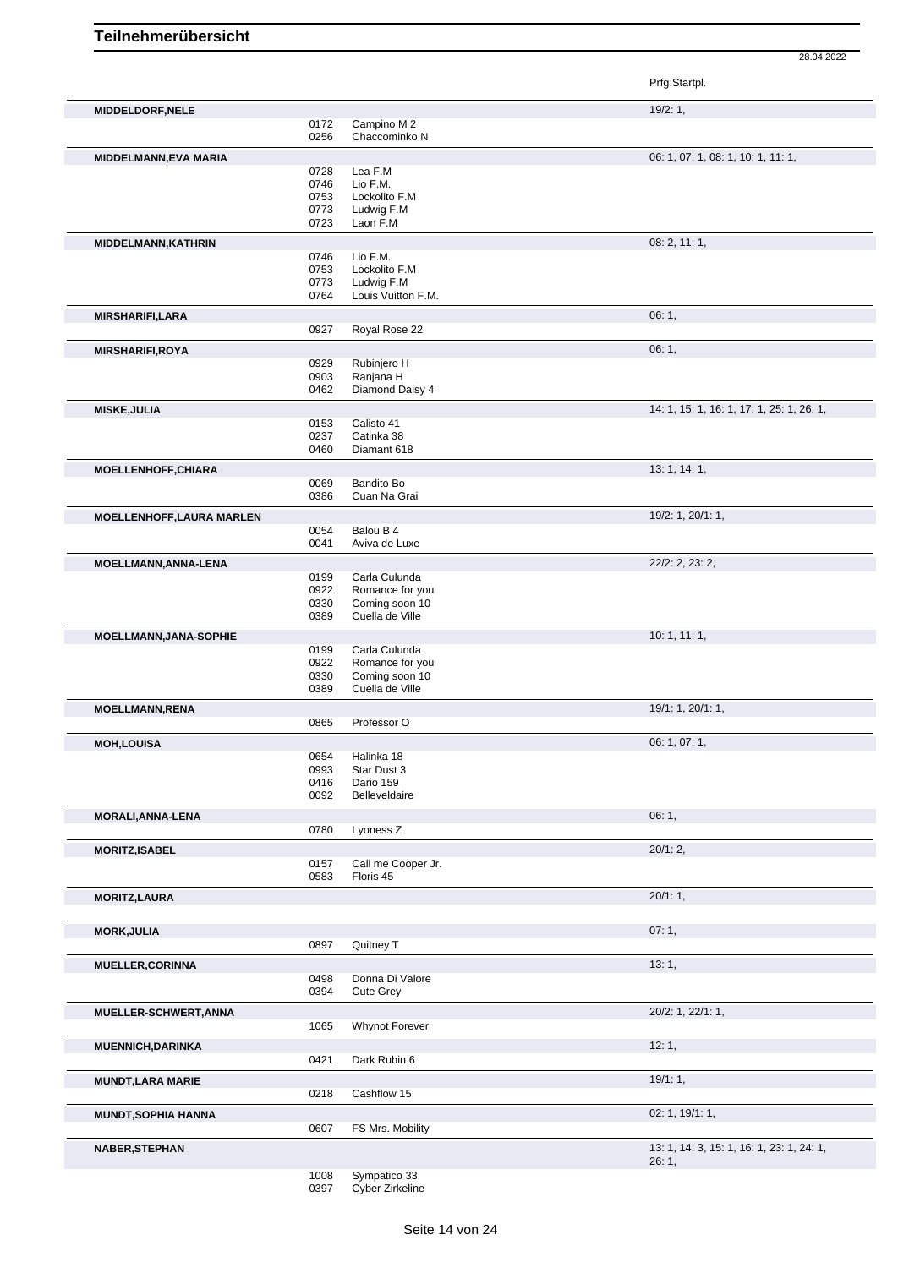28.04.2022

|                            |              |                           | Prfg:Startpl.                             |
|----------------------------|--------------|---------------------------|-------------------------------------------|
| MIDDELDORF, NELE           |              |                           | 19/2:1,                                   |
|                            | 0172         | Campino M2                |                                           |
|                            | 0256         | Chaccominko N             |                                           |
| MIDDELMANN, EVA MARIA      |              |                           | 06: 1, 07: 1, 08: 1, 10: 1, 11: 1,        |
|                            | 0728         | Lea F.M                   |                                           |
|                            | 0746         | Lio F.M.                  |                                           |
|                            | 0753         | Lockolito F.M             |                                           |
|                            | 0773         | Ludwig F.M                |                                           |
|                            | 0723         | Laon F.M                  |                                           |
| <b>MIDDELMANN, KATHRIN</b> |              |                           | 08: 2, 11: 1,                             |
|                            | 0746         | Lio F.M.                  |                                           |
|                            | 0753         | Lockolito F.M             |                                           |
|                            | 0773         | Ludwig F.M                |                                           |
|                            | 0764         | Louis Vuitton F.M.        |                                           |
| <b>MIRSHARIFI,LARA</b>     |              |                           | 06:1,                                     |
|                            | 0927         | Royal Rose 22             |                                           |
| <b>MIRSHARIFI,ROYA</b>     |              |                           | 06:1,                                     |
|                            | 0929         | Rubinjero H               |                                           |
|                            | 0903         | Ranjana H                 |                                           |
|                            | 0462         | Diamond Daisy 4           |                                           |
| <b>MISKE, JULIA</b>        |              |                           | 14: 1, 15: 1, 16: 1, 17: 1, 25: 1, 26: 1, |
|                            | 0153         | Calisto 41                |                                           |
|                            | 0237         | Catinka 38                |                                           |
|                            | 0460         | Diamant 618               |                                           |
|                            |              |                           |                                           |
| <b>MOELLENHOFF, CHIARA</b> | 0069         | Bandito Bo                | 13: 1, 14: 1,                             |
|                            | 0386         | Cuan Na Grai              |                                           |
|                            |              |                           |                                           |
| MOELLENHOFF, LAURA MARLEN  |              |                           | 19/2: 1, 20/1: 1,                         |
|                            | 0054         | Balou B 4                 |                                           |
|                            | 0041         | Aviva de Luxe             |                                           |
| MOELLMANN, ANNA-LENA       |              |                           | 22/2: 2, 23: 2,                           |
|                            | 0199         | Carla Culunda             |                                           |
|                            | 0922         | Romance for you           |                                           |
|                            | 0330         | Coming soon 10            |                                           |
|                            | 0389         | Cuella de Ville           |                                           |
| MOELLMANN, JANA-SOPHIE     |              |                           | 10:1, 11:1,                               |
|                            | 0199         | Carla Culunda             |                                           |
|                            | 0922         | Romance for you           |                                           |
|                            | 0330         | Coming soon 10            |                                           |
|                            | 0389         | Cuella de Ville           |                                           |
| <b>MOELLMANN,RENA</b>      |              |                           | 19/1: 1, 20/1: 1,                         |
|                            | 0865         | Professor O               |                                           |
|                            |              |                           |                                           |
| <b>MOH,LOUISA</b>          |              |                           | 06: 1, 07: 1,                             |
|                            | 0654<br>0993 | Halinka 18<br>Star Dust 3 |                                           |
|                            | 0416         | Dario 159                 |                                           |
|                            | 0092         | Belleveldaire             |                                           |
|                            |              |                           |                                           |
| MORALI, ANNA-LENA          |              |                           | 06:1,                                     |
|                            | 0780         | Lyoness Z                 |                                           |
| <b>MORITZ, ISABEL</b>      |              |                           | 20/1:2,                                   |
|                            | 0157         | Call me Cooper Jr.        |                                           |
|                            | 0583         | Floris 45                 |                                           |
| <b>MORITZ,LAURA</b>        |              |                           | 20/1:1,                                   |
|                            |              |                           |                                           |
|                            |              |                           |                                           |
| <b>MORK, JULIA</b>         |              |                           | 07:1,                                     |
|                            | 0897         | Quitney T                 |                                           |
| <b>MUELLER, CORINNA</b>    |              |                           | 13:1,                                     |
|                            | 0498         | Donna Di Valore           |                                           |
|                            | 0394         | <b>Cute Grey</b>          |                                           |
| MUELLER-SCHWERT, ANNA      |              |                           | 20/2: 1, 22/1: 1,                         |
|                            | 1065         | Whynot Forever            |                                           |
|                            |              |                           |                                           |
| <b>MUENNICH, DARINKA</b>   |              |                           | 12:1,                                     |
|                            | 0421         | Dark Rubin 6              |                                           |
| <b>MUNDT, LARA MARIE</b>   |              |                           | 19/1:1,                                   |
|                            | 0218         | Cashflow 15               |                                           |
|                            |              |                           |                                           |
| <b>MUNDT, SOPHIA HANNA</b> |              |                           | 02: 1, 19/1: 1,                           |
|                            | 0607         | FS Mrs. Mobility          |                                           |
| <b>NABER, STEPHAN</b>      |              |                           | 13: 1, 14: 3, 15: 1, 16: 1, 23: 1, 24: 1, |
|                            |              |                           | 26:1,                                     |
|                            |              |                           |                                           |

 Sympatico 33 Cyber Zirkeline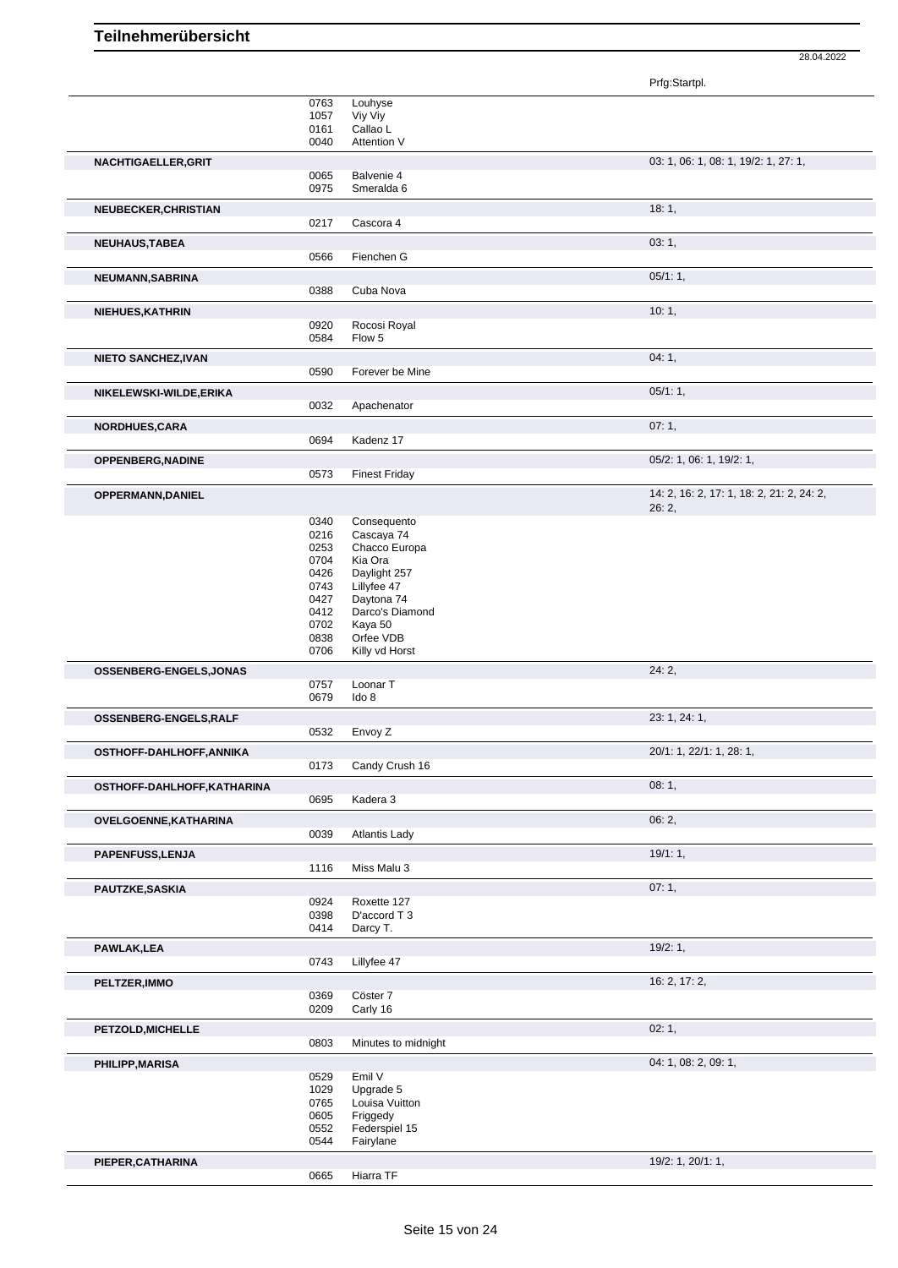|                             |              |                               | Prfg:Startpl.                             |
|-----------------------------|--------------|-------------------------------|-------------------------------------------|
|                             | 0763         | Louhyse                       |                                           |
|                             | 1057         | Viy Viy                       |                                           |
|                             | 0161         | Callao L                      |                                           |
|                             | 0040         | Attention V                   |                                           |
| NACHTIGAELLER, GRIT         |              |                               | 03: 1, 06: 1, 08: 1, 19/2: 1, 27: 1,      |
|                             | 0065<br>0975 | Balvenie 4<br>Smeralda 6      |                                           |
|                             |              |                               |                                           |
| NEUBECKER, CHRISTIAN        |              |                               | 18:1,                                     |
|                             | 0217         | Cascora 4                     |                                           |
| NEUHAUS, TABEA              |              |                               | 03:1,                                     |
|                             | 0566         | Fienchen G                    |                                           |
| NEUMANN, SABRINA            |              |                               | 05/1:1,                                   |
|                             | 0388         | Cuba Nova                     |                                           |
| NIEHUES, KATHRIN            |              |                               | 10:1,                                     |
|                             | 0920         | Rocosi Royal                  |                                           |
|                             | 0584         | Flow 5                        |                                           |
| <b>NIETO SANCHEZ, IVAN</b>  |              |                               | 04:1,                                     |
|                             | 0590         | Forever be Mine               |                                           |
| NIKELEWSKI-WILDE, ERIKA     |              |                               | 05/1:1,                                   |
|                             | 0032         | Apachenator                   |                                           |
|                             |              |                               | 07:1,                                     |
| NORDHUES, CARA              | 0694         | Kadenz 17                     |                                           |
|                             |              |                               |                                           |
| <b>OPPENBERG, NADINE</b>    |              |                               | 05/2: 1, 06: 1, 19/2: 1,                  |
|                             | 0573         | <b>Finest Friday</b>          |                                           |
| OPPERMANN, DANIEL           |              |                               | 14: 2, 16: 2, 17: 1, 18: 2, 21: 2, 24: 2, |
|                             |              |                               | 26:2,                                     |
|                             | 0340<br>0216 | Consequento<br>Cascaya 74     |                                           |
|                             | 0253         | Chacco Europa                 |                                           |
|                             | 0704         | Kia Ora                       |                                           |
|                             | 0426         | Daylight 257                  |                                           |
|                             | 0743         | Lillyfee 47                   |                                           |
|                             | 0427<br>0412 | Daytona 74<br>Darco's Diamond |                                           |
|                             | 0702         | Kaya 50                       |                                           |
|                             | 0838         | Orfee VDB                     |                                           |
|                             | 0706         | Killy vd Horst                |                                           |
| OSSENBERG-ENGELS, JONAS     |              |                               | 24:2,                                     |
|                             | 0757         | Loonar T                      |                                           |
|                             | 0679         | Ido 8                         |                                           |
| OSSENBERG-ENGELS, RALF      |              |                               | 23: 1, 24: 1,                             |
|                             | 0532         | Envoy Z                       |                                           |
| OSTHOFF-DAHLHOFF, ANNIKA    |              |                               | 20/1: 1, 22/1: 1, 28: 1,                  |
|                             | 0173         | Candy Crush 16                |                                           |
| OSTHOFF-DAHLHOFF, KATHARINA |              |                               | 08:1,                                     |
|                             | 0695         | Kadera 3                      |                                           |
| OVELGOENNE, KATHARINA       |              |                               | 06:2,                                     |
|                             | 0039         | <b>Atlantis Lady</b>          |                                           |
| PAPENFUSS, LENJA            |              |                               | 19/1:1,                                   |
|                             | 1116         | Miss Malu 3                   |                                           |
|                             |              |                               |                                           |
| PAUTZKE, SASKIA             |              |                               | 07:1,                                     |
|                             | 0924<br>0398 | Roxette 127<br>D'accord T 3   |                                           |
|                             | 0414         | Darcy T.                      |                                           |
|                             |              |                               | 19/2:1,                                   |
| PAWLAK, LEA                 | 0743         | Lillyfee 47                   |                                           |
|                             |              |                               |                                           |
| PELTZER, IMMO               |              |                               | 16: 2, 17: 2,                             |
|                             | 0369<br>0209 | Cöster 7<br>Carly 16          |                                           |
|                             |              |                               |                                           |
| PETZOLD, MICHELLE           |              |                               | 02:1,                                     |
|                             | 0803         | Minutes to midnight           |                                           |
| <b>PHILIPP, MARISA</b>      |              |                               | 04: 1, 08: 2, 09: 1,                      |
|                             | 0529         | Emil V                        |                                           |
|                             | 1029         | Upgrade 5                     |                                           |
|                             | 0765<br>0605 | Louisa Vuitton<br>Friggedy    |                                           |
|                             | 0552         | Federspiel 15                 |                                           |
|                             | 0544         | Fairylane                     |                                           |
| PIEPER, CATHARINA           |              |                               | 19/2: 1, 20/1: 1,                         |
|                             | 0665         | Hiarra TF                     |                                           |
|                             |              |                               |                                           |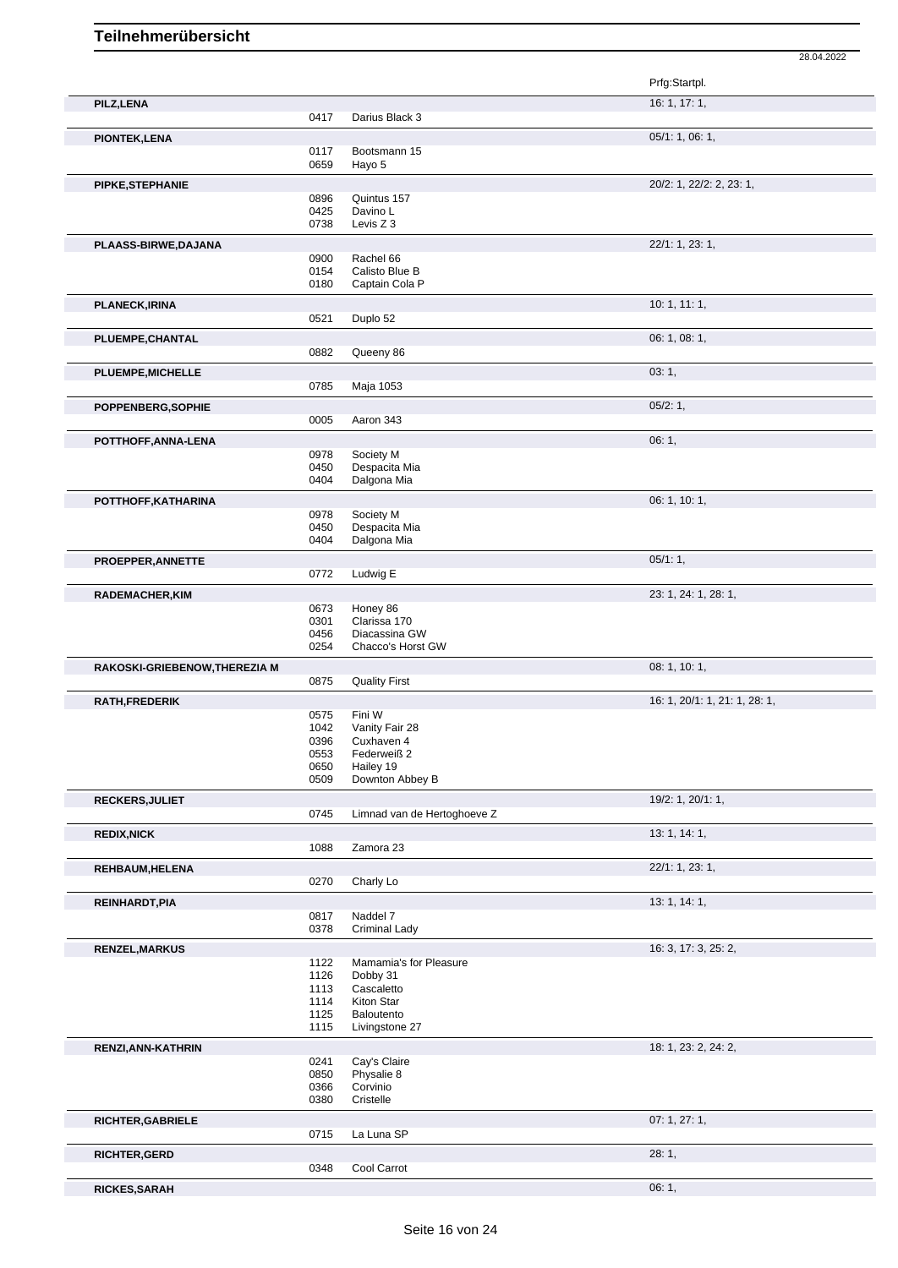Prfg:Startpl. **PILZ,LENA** 16: 1, 17: 1, 0417 Darius Black 3 **PIONTEK,LENA** 05/1: 1, 06: 1, 0117 Bootsmann 15<br>0659 Hayo 5 Hayo 5 **PIPKE,STEPHANIE** 20/2: 1, 22/2: 2, 23: 1, 0896 Quintus 157<br>0425 Davino L 0425 Davino L<br>0738 Levis Z 3 Levis Z 3 **PLAASS-BIRWE,DAJANA** 22/1: 1, 23: 1, 0900 Rachel 66<br>0154 Calisto Blu 0154 Calisto Blue B<br>0180 Captain Cola F Captain Cola P **PLANECK,IRINA** 10: 1, 11: 1, Duplo 52 **PLUEMPE, CHANTAL** 0882 Queeny 86 06: 1, 08: 1, 08: 1, 08: 1, 08: 1, 08: 1, 08: 1, 08: 1, 08: 1, 08: 1, 08: 1, 08: 1, 08: 1, 08: 1, 08: 1, 08: 1, 08: 1, 08: 1, 08: 1, 08: 1, 08: 1, 08: 1, 08: 1, 08: 1, 08: 1, 08: 1, 08: 1, Queeny 86 **PLUEMPE, MICHELLE** 03: 1, 0785 Maia 1053 Maja 1053 **POPPENBERG,SOPHIE** 0005 Aaron 343 05/2: 1, 0005 05/2: 1, 0005 05/2: 1, 0005 05/2: 1, 0005 05/2: 1, 0005 05/2: 1, 0005 05/2: 1, 0005 05/2: 1, 0005 05/2: 1, 0005 05/2: 1, 0005 05/2: 0, 0005 05/2: 0, 0, 0, 0, 0, 0, 0, 0, 0, Aaron 343 **POTTHOFF,ANNA-LENA** 06: 1, 0978 Society M 0450 Despacita Mia<br>0404 Dalgona Mia Dalgona Mia **POTTHOFF,KATHARINA** 06: 1, 10: 1, 0978 Society M<br>0450 Despacita Despacita Mia 0404 Dalgona Mia **PROEPPER,ANNETTE** 05/1: 1, 0772 Ludwig E **RADEMACHER,KIM** 23: 1, 24: 1, 28: 1, 0673 Honey 86<br>0301 Clarissa 1 Clarissa 170 0456 Diacassina GW<br>0254 Chacco's Horst Chacco's Horst GW **RAKOSKI-GRIEBENOW,THEREZIA M** 0875 Quality First **CONSERVIATION CONSERVIATION** 08: 1, 10: 1, **Quality First RATH,FREDERIK** 16: 1, 20/1: 1, 21: 1, 28: 1, 0575 Fini W<br>1042 Vanity 1042 Vanity Fair 28<br>0396 Cuxhaven 4 0396 Cuxhaven 4<br>0553 Federweiß 2 Federweiß 2 0650 Hailey 19<br>0509 Downton Downton Abbey B **RECKERS, JULIET** 19/2: 1, 20/1: 1, Limnad van de Hertoghoeve Z **REDIX,NICK** 13: 1, 14: 1, 1088 Zamora 23 **REHBAUM,HELENA** 22/1: 1, 23: 1, 0270 Charly Lo **REINHARDT, PIA** 13: 1, 14: 1, 0817 Naddel 7 0378 Criminal Lady **RENZEL, MARKUS** 16: 3, 17: 3, 25: 2, 1122 Mamamia's for Pleasure<br>1126 Dobby 31 1126 Dobby 31<br>1113 Cascalette 1113 Cascaletto<br>1114 Kiton Star 1114 Kiton Star<br>1125 Baloutento 1125 Baloutento<br>1115 Livingstone Livingstone 27 **RENZI,ANN-KATHRIN** 18: 1, 23: 2, 24: 2, 0241 Cay's Claire<br>0850 Physalie 8 0850 Physalie 8<br>0366 Corvinio 0366 Corvinio<br>0380 Cristelle Cristelle **RICHTER,GABRIELE** 07: 1, 27: 1, La Luna SP **RICHTER,GERD** 28: 1, Cool Carrot

**RICKES,SARAH** 06: 1,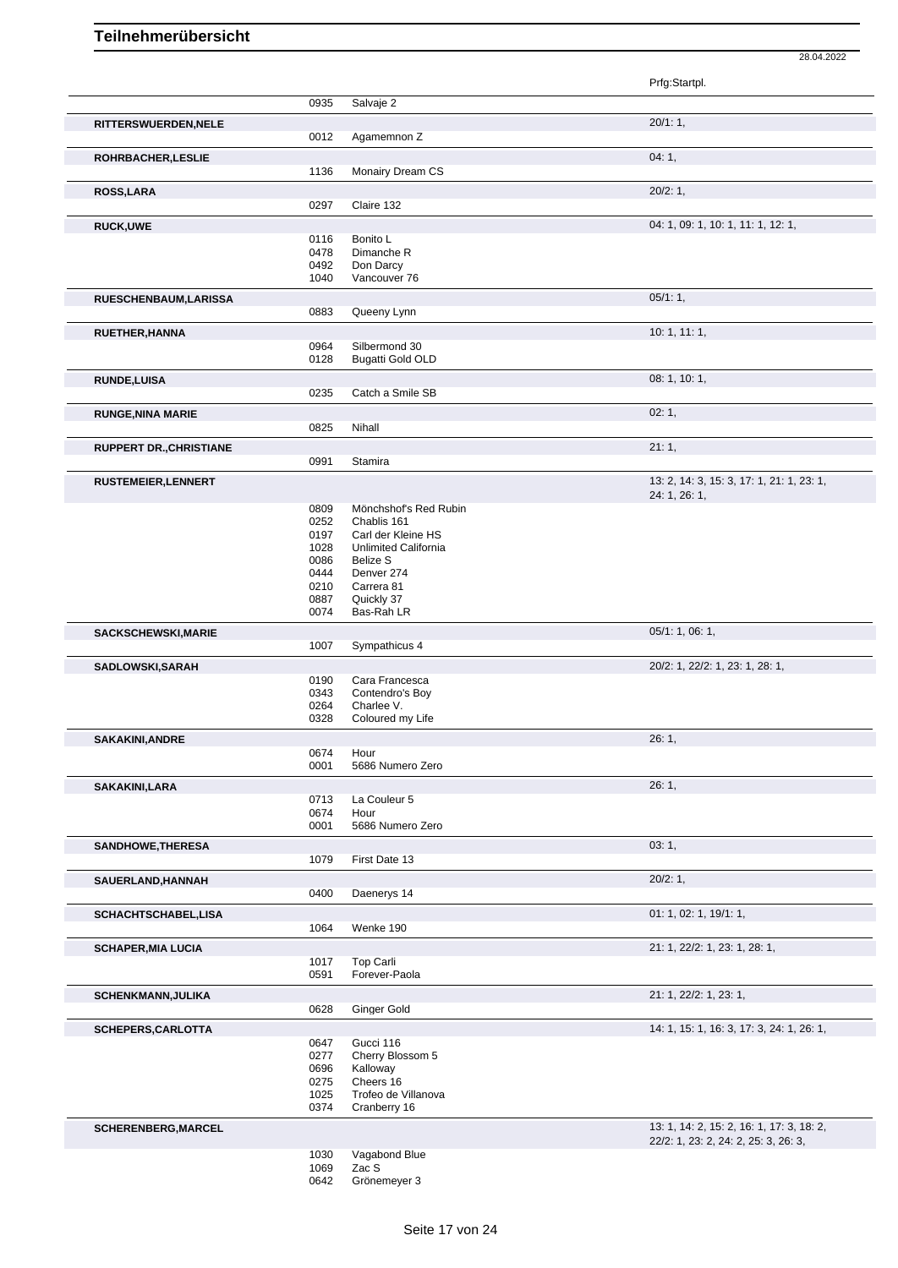|                                |              |                                          | Prfg:Startpl.                             |
|--------------------------------|--------------|------------------------------------------|-------------------------------------------|
|                                | 0935         | Salvaje 2                                |                                           |
| RITTERSWUERDEN, NELE           |              |                                          | 20/1:1,                                   |
|                                | 0012         | Agamemnon Z                              |                                           |
| ROHRBACHER, LESLIE             |              |                                          | 04:1,                                     |
|                                | 1136         | Monairy Dream CS                         |                                           |
| ROSS, LARA                     |              |                                          | 20/2:1,                                   |
|                                | 0297         | Claire 132                               |                                           |
| <b>RUCK,UWE</b>                |              |                                          | 04: 1, 09: 1, 10: 1, 11: 1, 12: 1,        |
|                                | 0116<br>0478 | Bonito L<br>Dimanche R                   |                                           |
|                                | 0492         | Don Darcy                                |                                           |
|                                | 1040         | Vancouver 76                             |                                           |
| RUESCHENBAUM, LARISSA          |              |                                          | 05/1:1,                                   |
|                                | 0883         | Queeny Lynn                              |                                           |
| RUETHER, HANNA                 |              |                                          | 10: 1, 11: 1,                             |
|                                | 0964<br>0128 | Silbermond 30<br><b>Bugatti Gold OLD</b> |                                           |
|                                |              |                                          |                                           |
| <b>RUNDE,LUISA</b>             | 0235         | Catch a Smile SB                         | 08: 1, 10: 1,                             |
|                                |              |                                          | 02:1,                                     |
| <b>RUNGE, NINA MARIE</b>       | 0825         | Nihall                                   |                                           |
| <b>RUPPERT DR., CHRISTIANE</b> |              |                                          | 21:1,                                     |
|                                | 0991         | <b>Stamira</b>                           |                                           |
| <b>RUSTEMEIER, LENNERT</b>     |              |                                          | 13: 2, 14: 3, 15: 3, 17: 1, 21: 1, 23: 1, |
|                                |              |                                          | 24: 1, 26: 1,                             |
|                                | 0809         | Mönchshof's Red Rubin                    |                                           |
|                                | 0252<br>0197 | Chablis 161<br>Carl der Kleine HS        |                                           |
|                                | 1028         | Unlimited California                     |                                           |
|                                | 0086         | <b>Belize S</b>                          |                                           |
|                                | 0444         | Denver 274                               |                                           |
|                                | 0210         | Carrera 81                               |                                           |
|                                | 0887         | Quickly 37                               |                                           |
|                                | 0074         | Bas-Rah LR                               |                                           |
| <b>SACKSCHEWSKI, MARIE</b>     | 1007         | Sympathicus 4                            | 05/1: 1, 06: 1,                           |
|                                |              |                                          | 20/2: 1, 22/2: 1, 23: 1, 28: 1,           |
| <b>SADLOWSKI, SARAH</b>        | 0190         | Cara Francesca                           |                                           |
|                                | 0343         | Contendro's Boy                          |                                           |
|                                | 0264         | Charlee V.                               |                                           |
|                                | 0328         | Coloured my Life                         |                                           |
| <b>SAKAKINI, ANDRE</b>         |              |                                          | 26:1                                      |
|                                | 0674         | Hour                                     |                                           |
|                                | 0001         | 5686 Numero Zero                         |                                           |
| SAKAKINI,LARA                  |              |                                          | 26:1,                                     |
|                                | 0713<br>0674 | La Couleur 5<br>Hour                     |                                           |
|                                | 0001         | 5686 Numero Zero                         |                                           |
| SANDHOWE, THERESA              |              |                                          | 03:1,                                     |
|                                | 1079         | First Date 13                            |                                           |
| SAUERLAND, HANNAH              |              |                                          | 20/2:1,                                   |
|                                | 0400         | Daenerys 14                              |                                           |
| <b>SCHACHTSCHABEL,LISA</b>     |              |                                          | 01: 1, 02: 1, 19/1: 1,                    |
|                                | 1064         | Wenke 190                                |                                           |
| <b>SCHAPER, MIA LUCIA</b>      |              |                                          | 21: 1, 22/2: 1, 23: 1, 28: 1,             |
|                                | 1017         | <b>Top Carli</b>                         |                                           |
|                                | 0591         | Forever-Paola                            |                                           |
| <b>SCHENKMANN, JULIKA</b>      |              |                                          | 21: 1, 22/2: 1, 23: 1,                    |
|                                | 0628         | Ginger Gold                              |                                           |
| SCHEPERS, CARLOTTA             |              |                                          | 14: 1, 15: 1, 16: 3, 17: 3, 24: 1, 26: 1, |
|                                | 0647         | Gucci 116                                |                                           |
|                                | 0277         | Cherry Blossom 5                         |                                           |
|                                | 0696         | Kalloway                                 |                                           |
|                                | 0275<br>1025 | Cheers 16<br>Trofeo de Villanova         |                                           |
|                                | 0374         | Cranberry 16                             |                                           |
| <b>SCHERENBERG, MARCEL</b>     |              |                                          | 13: 1, 14: 2, 15: 2, 16: 1, 17: 3, 18: 2, |
|                                |              |                                          | 22/2: 1, 23: 2, 24: 2, 25: 3, 26: 3,      |
|                                | 1030         | Vagabond Blue                            |                                           |
|                                | 1069         | Zac S                                    |                                           |
|                                | 0642         | Grönemeyer 3                             |                                           |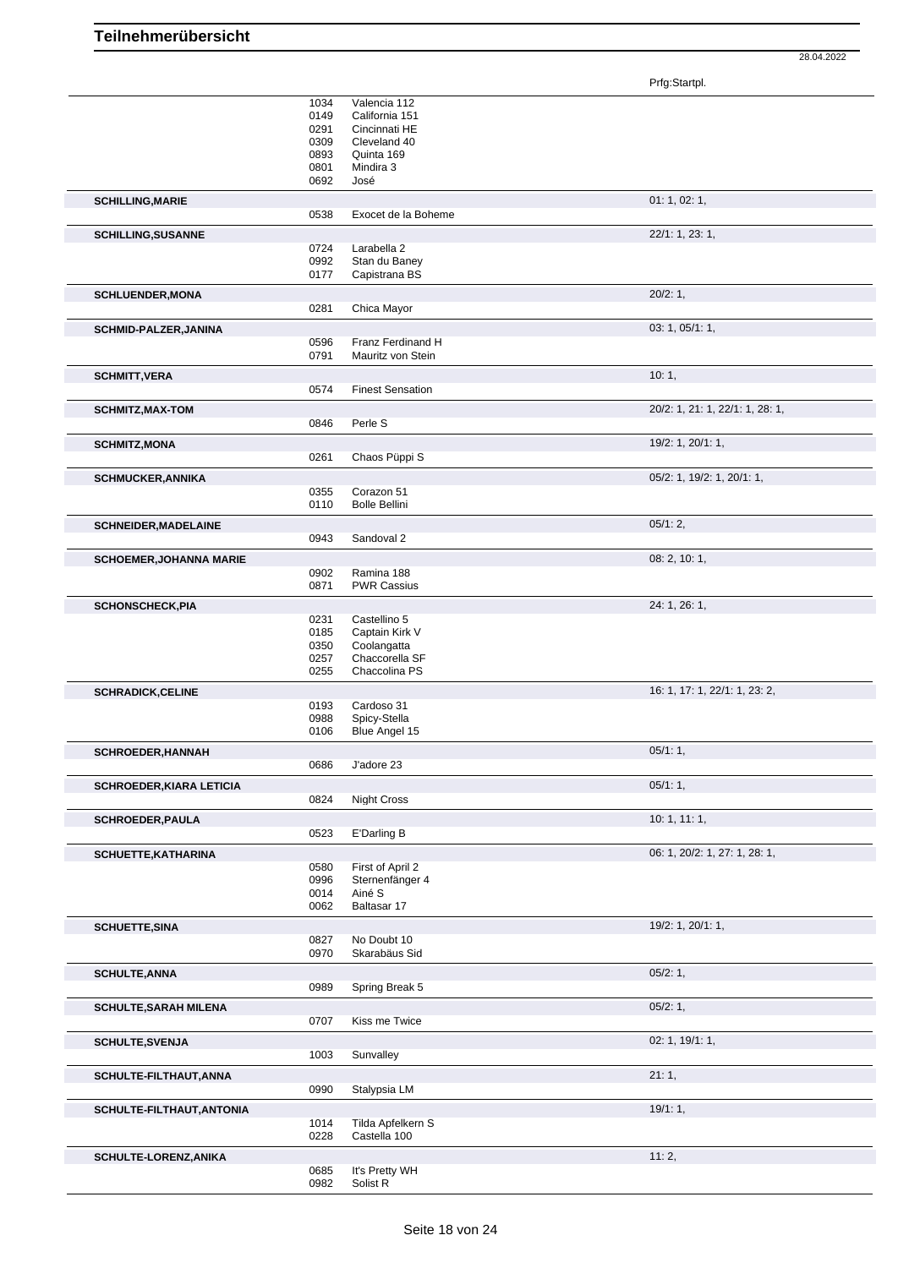Prfg:Startpl.

|                                 | 1034<br>0149<br>0291<br>0309<br>0893<br>0801<br>0692 | Valencia 112<br>California 151<br>Cincinnati HE<br>Cleveland 40<br>Quinta 169<br>Mindira 3<br>José |                                 |
|---------------------------------|------------------------------------------------------|----------------------------------------------------------------------------------------------------|---------------------------------|
| <b>SCHILLING, MARIE</b>         | 0538                                                 | Exocet de la Boheme                                                                                | 01: 1, 02: 1,                   |
| <b>SCHILLING, SUSANNE</b>       |                                                      |                                                                                                    | 22/1: 1, 23: 1,                 |
|                                 | 0724<br>0992<br>0177                                 | Larabella 2<br>Stan du Baney<br>Capistrana BS                                                      |                                 |
| <b>SCHLUENDER, MONA</b>         | 0281                                                 | Chica Mayor                                                                                        | 20/2:1,                         |
| SCHMID-PALZER, JANINA           | 0596<br>0791                                         | Franz Ferdinand H<br>Mauritz von Stein                                                             | 03: 1, 05/1: 1,                 |
| <b>SCHMITT, VERA</b>            |                                                      |                                                                                                    | 10:1,                           |
|                                 | 0574                                                 | <b>Finest Sensation</b>                                                                            |                                 |
| <b>SCHMITZ, MAX-TOM</b>         | 0846                                                 | Perle S                                                                                            | 20/2: 1, 21: 1, 22/1: 1, 28: 1, |
| <b>SCHMITZ, MONA</b>            | 0261                                                 | Chaos Püppi S                                                                                      | 19/2: 1, 20/1: 1,               |
| <b>SCHMUCKER, ANNIKA</b>        | 0355<br>0110                                         | Corazon 51<br><b>Bolle Bellini</b>                                                                 | 05/2: 1, 19/2: 1, 20/1: 1,      |
| <b>SCHNEIDER, MADELAINE</b>     | 0943                                                 | Sandoval 2                                                                                         | 05/1:2,                         |
| <b>SCHOEMER, JOHANNA MARIE</b>  |                                                      |                                                                                                    | 08: 2, 10: 1,                   |
|                                 | 0902<br>0871                                         | Ramina 188<br><b>PWR Cassius</b>                                                                   |                                 |
| <b>SCHONSCHECK, PIA</b>         |                                                      |                                                                                                    | 24: 1, 26: 1,                   |
|                                 | 0231<br>0185<br>0350<br>0257<br>0255                 | Castellino 5<br>Captain Kirk V<br>Coolangatta<br>Chaccorella SF<br>Chaccolina PS                   |                                 |
| <b>SCHRADICK, CELINE</b>        |                                                      |                                                                                                    | 16: 1, 17: 1, 22/1: 1, 23: 2,   |
|                                 | 0193<br>0988<br>0106                                 | Cardoso 31<br>Spicy-Stella<br>Blue Angel 15                                                        |                                 |
| <b>SCHROEDER, HANNAH</b>        | 0686                                                 | J'adore 23                                                                                         | 05/1:1,                         |
| <b>SCHROEDER, KIARA LETICIA</b> |                                                      |                                                                                                    | 05/1:1,                         |
|                                 | 0824                                                 | Night Cross                                                                                        |                                 |
| <b>SCHROEDER, PAULA</b>         | 0523                                                 | E'Darling B                                                                                        | 10:1, 11:1,                     |
| SCHUETTE, KATHARINA             |                                                      |                                                                                                    | 06: 1, 20/2: 1, 27: 1, 28: 1,   |
|                                 | 0580<br>0996<br>0014<br>0062                         | First of April 2<br>Sternenfänger 4<br>Ainé S<br>Baltasar 17                                       |                                 |
| <b>SCHUETTE, SINA</b>           |                                                      |                                                                                                    | 19/2: 1, 20/1: 1,               |
|                                 | 0827<br>0970                                         | No Doubt 10<br>Skarabäus Sid                                                                       |                                 |
| <b>SCHULTE, ANNA</b>            | 0989                                                 | Spring Break 5                                                                                     | 05/2:1,                         |
| <b>SCHULTE, SARAH MILENA</b>    | 0707                                                 | Kiss me Twice                                                                                      | 05/2:1,                         |
| <b>SCHULTE, SVENJA</b>          |                                                      |                                                                                                    | 02: 1, 19/1: 1,                 |
|                                 | 1003                                                 | Sunvalley                                                                                          | 21:1,                           |
| SCHULTE-FILTHAUT, ANNA          | 0990                                                 | Stalypsia LM                                                                                       |                                 |
| SCHULTE-FILTHAUT, ANTONIA       | 1014<br>0228                                         | Tilda Apfelkern S<br>Castella 100                                                                  | 19/1:1,                         |
| SCHULTE-LORENZ, ANIKA           | 0685<br>0982                                         | It's Pretty WH<br>Solist R                                                                         | 11:2,                           |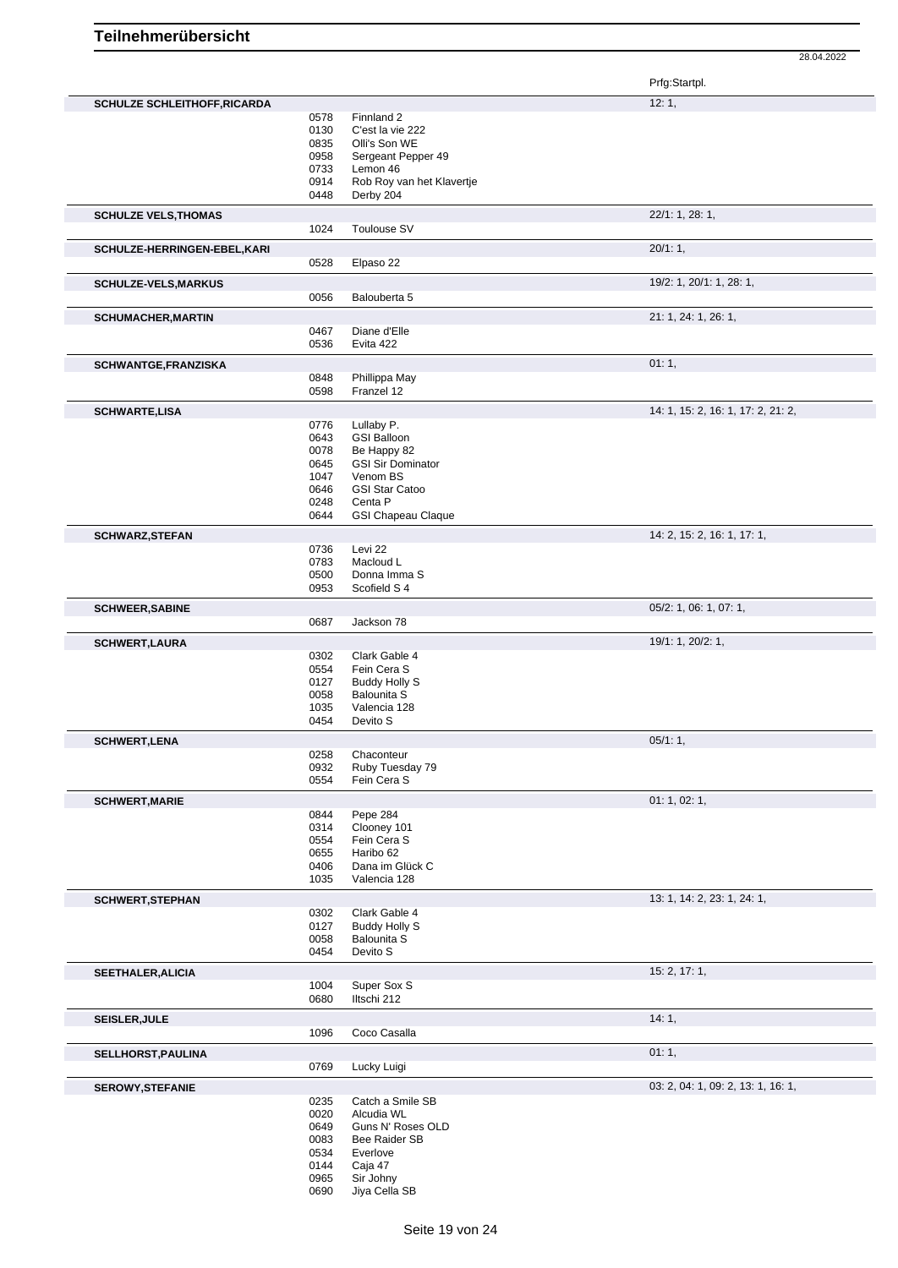| Prfg:Startpl. |
|---------------|
|---------------|

|                                     |              |                           | r ng.olanpi.                       |
|-------------------------------------|--------------|---------------------------|------------------------------------|
| <b>SCHULZE SCHLEITHOFF, RICARDA</b> |              |                           | 12:1,                              |
|                                     | 0578         | Finnland 2                |                                    |
|                                     | 0130         | C'est la vie 222          |                                    |
|                                     | 0835         | Olli's Son WE             |                                    |
|                                     | 0958         | Sergeant Pepper 49        |                                    |
|                                     | 0733         | Lemon 46                  |                                    |
|                                     | 0914         | Rob Roy van het Klavertje |                                    |
|                                     | 0448         | Derby 204                 |                                    |
|                                     |              |                           | 22/1: 1, 28: 1,                    |
| <b>SCHULZE VELS, THOMAS</b>         | 1024         | Toulouse SV               |                                    |
|                                     |              |                           |                                    |
| SCHULZE-HERRINGEN-EBEL, KARI        | 0528         | Elpaso 22                 | 20/1:1,                            |
|                                     |              |                           |                                    |
| <b>SCHULZE-VELS, MARKUS</b>         | 0056         | Balouberta 5              | 19/2: 1, 20/1: 1, 28: 1,           |
|                                     |              |                           |                                    |
| <b>SCHUMACHER, MARTIN</b>           |              |                           | 21: 1, 24: 1, 26: 1,               |
|                                     | 0467<br>0536 | Diane d'Elle<br>Evita 422 |                                    |
|                                     |              |                           |                                    |
| SCHWANTGE, FRANZISKA                |              |                           | 01:1,                              |
|                                     | 0848         | Phillippa May             |                                    |
|                                     | 0598         | Franzel 12                |                                    |
| <b>SCHWARTE,LISA</b>                |              |                           | 14: 1, 15: 2, 16: 1, 17: 2, 21: 2, |
|                                     | 0776         | Lullaby P.                |                                    |
|                                     | 0643         | <b>GSI Balloon</b>        |                                    |
|                                     | 0078         | Be Happy 82               |                                    |
|                                     | 0645         | <b>GSI Sir Dominator</b>  |                                    |
|                                     | 1047         | Venom BS                  |                                    |
|                                     | 0646         | <b>GSI Star Catoo</b>     |                                    |
|                                     | 0248         | Centa P                   |                                    |
|                                     | 0644         | <b>GSI Chapeau Claque</b> |                                    |
| <b>SCHWARZ, STEFAN</b>              |              |                           | 14: 2, 15: 2, 16: 1, 17: 1,        |
|                                     | 0736         | Levi 22                   |                                    |
|                                     | 0783         | Macloud L                 |                                    |
|                                     | 0500         | Donna Imma S              |                                    |
|                                     | 0953         | Scofield S 4              |                                    |
| <b>SCHWEER, SABINE</b>              |              |                           | 05/2: 1, 06: 1, 07: 1,             |
|                                     | 0687         | Jackson 78                |                                    |
| <b>SCHWERT, LAURA</b>               |              |                           | 19/1: 1, 20/2: 1,                  |
|                                     | 0302         | Clark Gable 4             |                                    |
|                                     | 0554         | Fein Cera S               |                                    |
|                                     | 0127         | <b>Buddy Holly S</b>      |                                    |
|                                     | 0058         | <b>Balounita S</b>        |                                    |
|                                     | 1035         | Valencia 128              |                                    |
|                                     | 0454         | Devito S                  |                                    |
|                                     |              |                           | $05/1:1$ ,                         |
| <b>SCHWERT, LENA</b>                | 0258         | Chaconteur                |                                    |
|                                     | 0932         | Ruby Tuesday 79           |                                    |
|                                     | 0554         | Fein Cera S               |                                    |
|                                     |              |                           |                                    |
| <b>SCHWERT, MARIE</b>               |              |                           | 01: 1, 02: 1,                      |
|                                     | 0844<br>0314 | Pepe 284<br>Clooney 101   |                                    |
|                                     | 0554         | Fein Cera S               |                                    |
|                                     | 0655         | Haribo 62                 |                                    |
|                                     | 0406         | Dana im Glück C           |                                    |
|                                     | 1035         | Valencia 128              |                                    |
|                                     |              |                           |                                    |
| <b>SCHWERT, STEPHAN</b>             | 0302         | Clark Gable 4             | 13: 1, 14: 2, 23: 1, 24: 1,        |
|                                     | 0127         | <b>Buddy Holly S</b>      |                                    |
|                                     | 0058         | <b>Balounita S</b>        |                                    |
|                                     | 0454         | Devito S                  |                                    |
|                                     |              |                           |                                    |
| SEETHALER, ALICIA                   |              |                           | 15: 2, 17: 1,                      |
|                                     | 1004         | Super Sox S               |                                    |
|                                     | 0680         | Iltschi 212               |                                    |
| <b>SEISLER, JULE</b>                |              |                           | 14:1,                              |
|                                     | 1096         | Coco Casalla              |                                    |
| SELLHORST, PAULINA                  |              |                           | 01:1,                              |
|                                     | 0769         | Lucky Luigi               |                                    |
| <b>SEROWY, STEFANIE</b>             |              |                           | 03: 2, 04: 1, 09: 2, 13: 1, 16: 1, |
|                                     | 0235         | Catch a Smile SB          |                                    |
|                                     | 0020         | Alcudia WL                |                                    |
|                                     | 0649         | Guns N' Roses OLD         |                                    |
|                                     | 0083         | Bee Raider SB             |                                    |
|                                     | 0534         | Everlove                  |                                    |
|                                     | 0144         | Caja 47                   |                                    |
|                                     | 0965         | Sir Johny                 |                                    |
|                                     | 0690         | Jiya Cella SB             |                                    |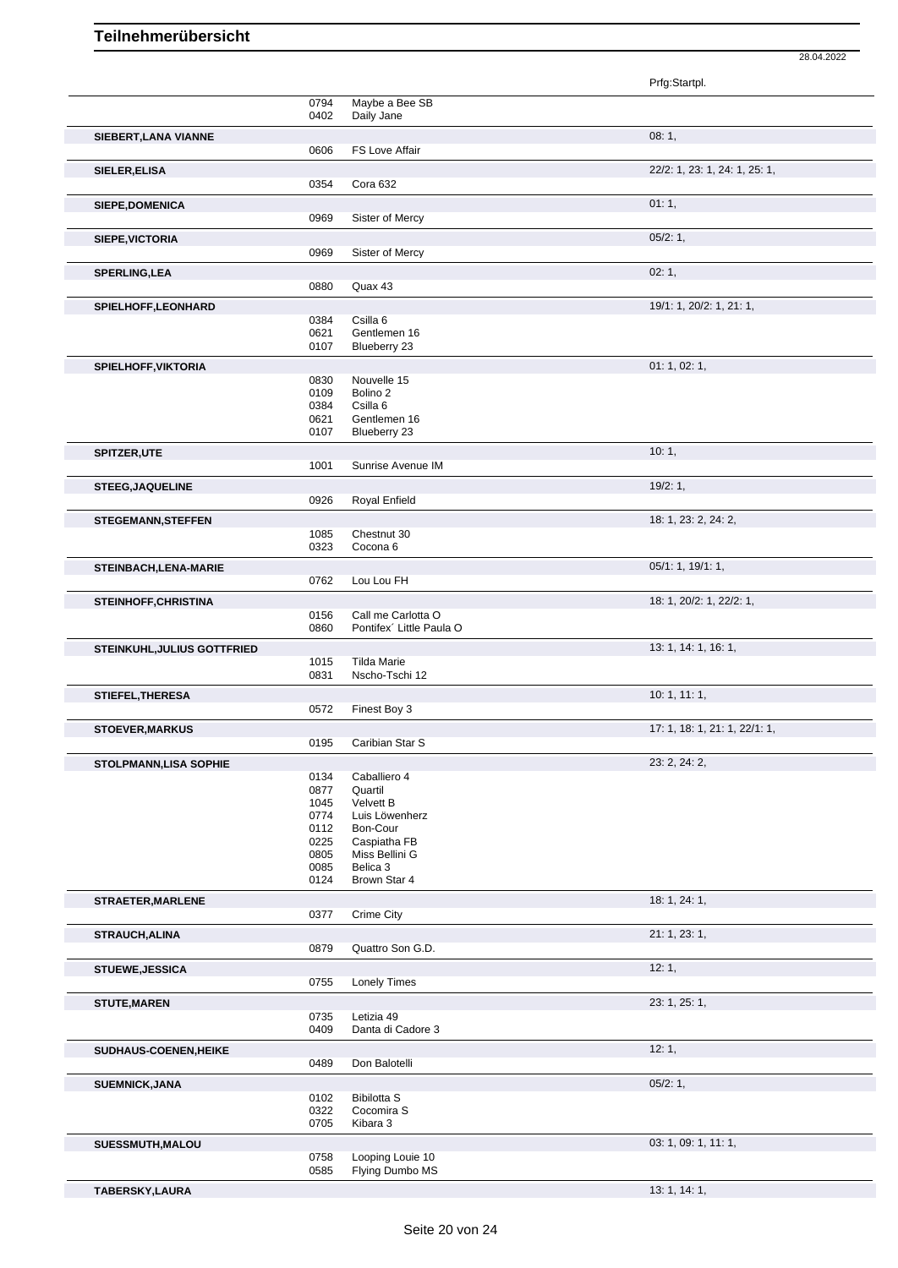Prfg:Startpl. 0794 Maybe a Bee SB<br>0402 Daily Jane Daily Jane **SIEBERT,LANA VIANNE** 08: 1, 0606 FS Love Affair **SIELER,ELISA** 22/2: 1, 23: 1, 24: 1, 25: 1, 0354 Cora 632 **SIEPE,DOMENICA** 01: 1, 01: 1, 01: 1, 01: 1, 01: 1, 01: 1, 01: 1, 01: 1, 01: 1, 01: 1, 01: 1, 01: 1, 01: 1, 01: 1, 01: 1, 01: 1, 01: 1, 01: 1, 01: 1, 01: 1, 01: 1, 01: 1, 01: 1, 01: 1, 01: 1, 01: 1, 01: 1, 01: 01: 01: 01: 0969 Sister of Mercy **SIEPE,VICTORIA** 05/2: 1, 0969 Sister of Mercy **SPERLING,LEA** 02: 1, 0880 Quax 43 **SPIELHOFF, LEONHARD** 19/1: 1, 20/2: 1, 21: 1, 20: 1, 21: 1, 20: 1, 21: 1, 20: 1, 21: 1, 20: 1, 21: 1, 20: 1, 21: 1, 20: 1, 21: 1, 20: 1, 21: 1, 20: 2: 1, 21: 1, 20: 2: 1, 21: 1, 20: 2: 1, 21: 1, 20: 2: 1, 21: 1, 20: 2: 1, 0384 Csilla 6<br>0621 Gentlem 0621 Gentlemen 16<br>0107 Blueberry 23 Blueberry 23 **SPIELHOFF, VIKTORIA** 01: 1, 02: 1, 02: 1, 03: 0830 Nouvelle 15 0830 Nouvelle 15<br>0109 Bolino 2 0109 Bolino 2<br>0384 Csilla 6 0384 Csilla 6<br>0621 Gentlem 0621 Gentlemen 16<br>0107 Blueberry 23 Blueberry 23 **SPITZER,UTE** 10: 1, Sunrise Avenue IM **STEEG,JAQUELINE** 19/2: 1,<br>
0926 Roval Enfield Royal Enfield **STEGEMANN, STEFFEN** 1085 Chestnut 30<br>1085 Chestnut 30 1085 Chestnut 30<br>0323 Cocona 6 Cocona 6 **STEINBACH,LENA-MARIE** 05/1: 1, 19/1: 1, 19/1: 1, 19/1: 1, 19/1: 1, 19/1: 1, 19/1: 1, 19/1: 1, 19/1: 1, 19/1: 1, 19/1: 1, 19/1: 1, 19/1: 1, 19/1: 1, 19/1: 1, 19/1: 1, 19/1: 1, 19/1: 1, 19/1: 1, 19/1: 1, 19/1: 1, 19/1: 1, 1 0762 Lou Lou FH **STEINHOFF, CHRISTINA** 18: 1, 20/2: 1, 22/2: 1, 0156 Call me Carlotta O 0860 Pontifex´ Little Paula O **STEINKUHL,JULIUS GOTTFRIED** 1015 Tilda Marie 100 100 100 100 100 13: 1, 14: 1, 16: 1, 1015 Tilda Marie<br>0831 Nscho-Tscl Nscho-Tschi 12 **STIEFEL,THERESA** 10: 1, 11: 1, 0572 Finest Boy 3 **STOEVER, MARKUS** 17: 1, 18: 1, 22/1: 1, 22/1: 1, 22/1: 1, 22/1: 1, 22/1: 1, 22/1: 1, 22/1: 1, 22/1: 1, 22/1: 1, 22/1: 1, 22/1: 1, 22/1: 1, 22/1: 1, 22/1: 1, 22/1: 1, 22/1: 1, 22/1: 1, 22/1: 1, 22/1: 1, 22/1: 2, 201: 2, 2, Caribian Star S **STOLPMANN,LISA SOPHIE** 23: 2, 24: 2, 0134 Caballiero 4<br>0877 Quartil 0877 Quartil<br>1045 Velvett 1045 Velvett B<br>0774 Luis Löwe 0774 Luis Löwenherz<br>0112 Bon-Cour 0112 Bon-Cour<br>0225 Caspiatha 0225 Caspiatha FB<br>0805 Miss Bellini G 0805 Miss Bellini G<br>0085 Belica 3 0085 Belica 3<br>0124 Brown S Brown Star 4 **STRAETER, MARLENE** 18: 1, 24: 1, 0377 Crime City **STRAUCH,ALINA** 21: 1, 23: 1, 23: 1, 23: 1, 23: 1, 23: 1, 23: 1, 23: 1, 23: 1, 23: 1, 23: 1, 23: 1, 23: 1, 23: 1, 23: 1, 23: 1, 23: 1, 23: 1, 23: 1, 23: 1, 23: 1, 23: 1, 23: 1, 23: 1, 23: 1, 23: 1, 23: 1, 23: 1, 23: 1, 23: 0879 Quattro Son G.D. **STUEWE,JESSICA** 12: 1, 0755 Lonely Times **STUTE,MAREN** 23: 1, 25: 1, Letizia 49 0409 Danta di Cadore 3 **SUDHAUS-COENEN,HEIKE** 12: 1, 2: 1, 2: 1, 2: 1, 2: 1, 2: 1, 2: 1, 2: 1, 2: 1, 2: 1, 2: 1, 2: 1, 2: 1, 2: 1, 2: 1, 2: 1, 2: 1, 2: 1, 2: 1, 2: 1, 2: 1, 2: 1, 2: 1, 2: 1, 2: 1, 2: 1, 2: 1, 2: 1, 2: 1, 2: 1, 2: 1, 2: 1, 2: 1, 0489 Don Balotelli **SUEMNICK,JANA** 05/2: 1, 0102 Bibilotta S 0322 Cocomira S 0705 Kibara 3 **SUESSMUTH,MALOU** 03: 1, 09: 1, 11: 1, 0758 Looping Louie 10<br>0585 Flying Dumbo MS Flying Dumbo MS

**TABERSKY,LAURA** 13: 1, 14: 1,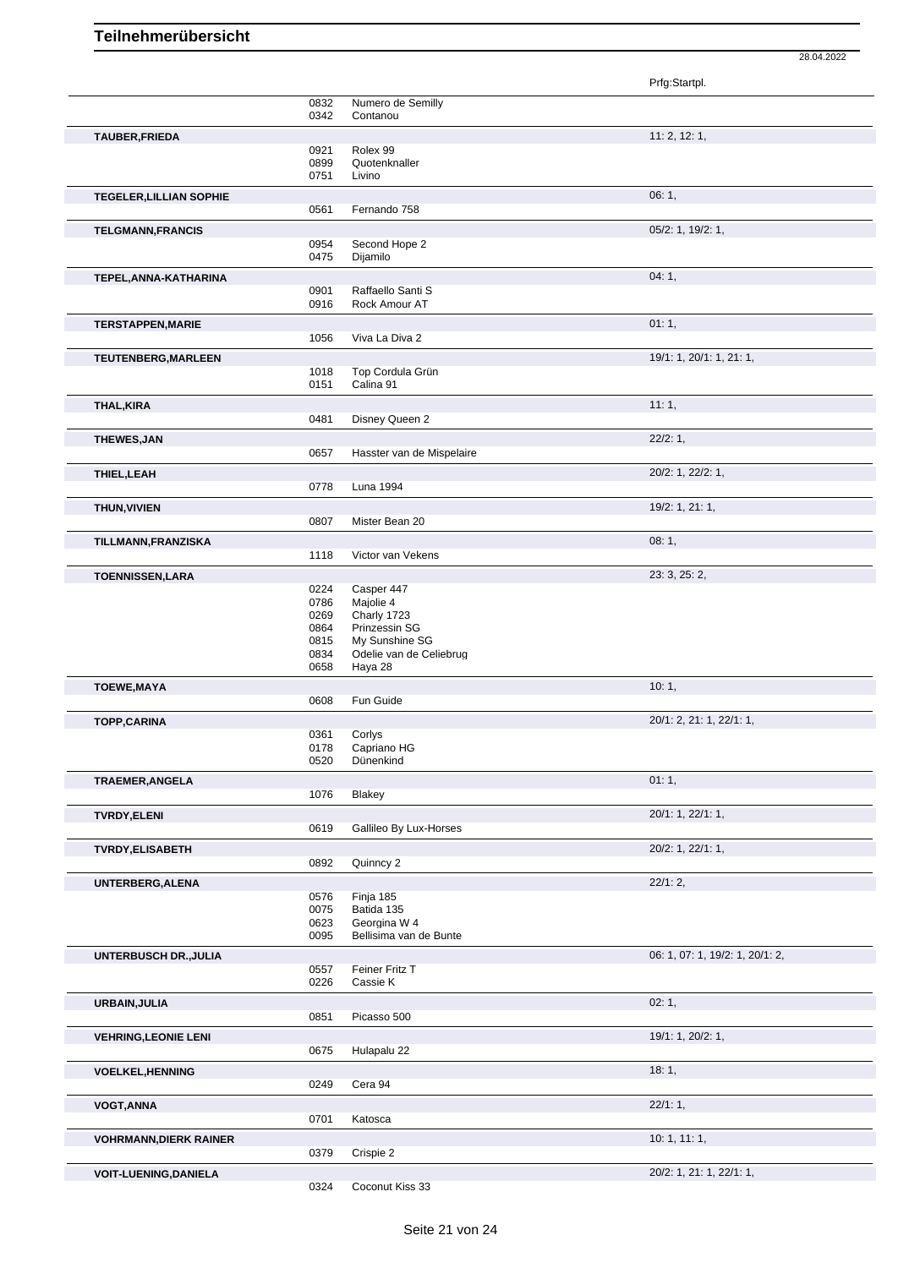|                                |              |                                           | Prfg:Startpl.                   |
|--------------------------------|--------------|-------------------------------------------|---------------------------------|
|                                | 0832         | Numero de Semilly                         |                                 |
|                                | 0342         | Contanou                                  |                                 |
| TAUBER, FRIEDA                 |              |                                           | 11: 2, 12: 1,                   |
|                                | 0921<br>0899 | Rolex 99<br>Quotenknaller                 |                                 |
|                                | 0751         | Livino                                    |                                 |
| <b>TEGELER, LILLIAN SOPHIE</b> |              |                                           | 06:1,                           |
|                                | 0561         | Fernando 758                              |                                 |
| <b>TELGMANN, FRANCIS</b>       |              |                                           | 05/2: 1, 19/2: 1,               |
|                                | 0954         | Second Hope 2                             |                                 |
|                                | 0475         | Dijamilo                                  |                                 |
| TEPEL, ANNA-KATHARINA          |              |                                           | 04:1,                           |
|                                | 0901<br>0916 | Raffaello Santi S<br>Rock Amour AT        |                                 |
|                                |              |                                           |                                 |
| <b>TERSTAPPEN, MARIE</b>       | 1056         | Viva La Diva 2                            | 01:1,                           |
|                                |              |                                           |                                 |
| TEUTENBERG, MARLEEN            | 1018         | Top Cordula Grün                          | 19/1: 1, 20/1: 1, 21: 1,        |
|                                | 0151         | Calina 91                                 |                                 |
| THAL, KIRA                     |              |                                           | 11:1,                           |
|                                | 0481         | Disney Queen 2                            |                                 |
| <b>THEWES, JAN</b>             |              |                                           | 22/2:1,                         |
|                                | 0657         | Hasster van de Mispelaire                 |                                 |
| THIEL, LEAH                    |              |                                           | 20/2: 1, 22/2: 1,               |
|                                | 0778         | <b>Luna 1994</b>                          |                                 |
| THUN, VIVIEN                   |              |                                           | 19/2: 1, 21: 1,                 |
|                                | 0807         | Mister Bean 20                            |                                 |
| TILLMANN, FRANZISKA            |              |                                           | 08:1,                           |
|                                | 1118         | Victor van Vekens                         |                                 |
| <b>TOENNISSEN,LARA</b>         |              |                                           | 23: 3, 25: 2,                   |
|                                | 0224<br>0786 | Casper 447<br>Majolie 4                   |                                 |
|                                | 0269         | Charly 1723                               |                                 |
|                                | 0864         | Prinzessin SG                             |                                 |
|                                | 0815<br>0834 | My Sunshine SG<br>Odelie van de Celiebrug |                                 |
|                                | 0658         | Haya 28                                   |                                 |
| <b>TOEWE, MAYA</b>             |              |                                           | 10:1,                           |
|                                | 0608         | Fun Guide                                 |                                 |
| <b>TOPP,CARINA</b>             |              |                                           | 20/1: 2, 21: 1, 22/1: 1,        |
|                                | 0361<br>0178 | Corlys<br>Capriano HG                     |                                 |
|                                | 0520         | Dünenkind                                 |                                 |
| <b>TRAEMER, ANGELA</b>         |              |                                           | 01:1,                           |
|                                | 1076         | Blakey                                    |                                 |
| <b>TVRDY, ELENI</b>            |              |                                           | 20/1: 1, 22/1: 1,               |
|                                | 0619         | Gallileo By Lux-Horses                    |                                 |
| <b>TVRDY, ELISABETH</b>        |              |                                           | 20/2: 1, 22/1: 1,               |
|                                | 0892         | Quinncy 2                                 |                                 |
| UNTERBERG, ALENA               |              |                                           | 22/1:2,                         |
|                                | 0576<br>0075 | Finja 185<br>Batida 135                   |                                 |
|                                | 0623         | Georgina W 4                              |                                 |
|                                | 0095         | Bellisima van de Bunte                    |                                 |
| UNTERBUSCH DR., JULIA          |              |                                           | 06: 1, 07: 1, 19/2: 1, 20/1: 2, |
|                                | 0557         | Feiner Fritz T                            |                                 |
|                                | 0226         | Cassie K                                  |                                 |
| URBAIN, JULIA                  | 0851         | Picasso 500                               | 02:1,                           |
|                                |              |                                           |                                 |
| <b>VEHRING, LEONIE LENI</b>    | 0675         | Hulapalu 22                               | 19/1: 1, 20/2: 1,               |
|                                |              |                                           | 18:1,                           |
| <b>VOELKEL, HENNING</b>        | 0249         | Cera 94                                   |                                 |
| <b>VOGT, ANNA</b>              |              |                                           | 22/1:1,                         |
|                                | 0701         | Katosca                                   |                                 |
| <b>VOHRMANN, DIERK RAINER</b>  |              |                                           | 10:1, 11:1,                     |
|                                | 0379         | Crispie 2                                 |                                 |
| <b>VOIT-LUENING, DANIELA</b>   |              |                                           | 20/2: 1, 21: 1, 22/1: 1,        |
|                                | 0324         | Coconut Kiss 33                           |                                 |

28.04.2022

Coconut Kiss 33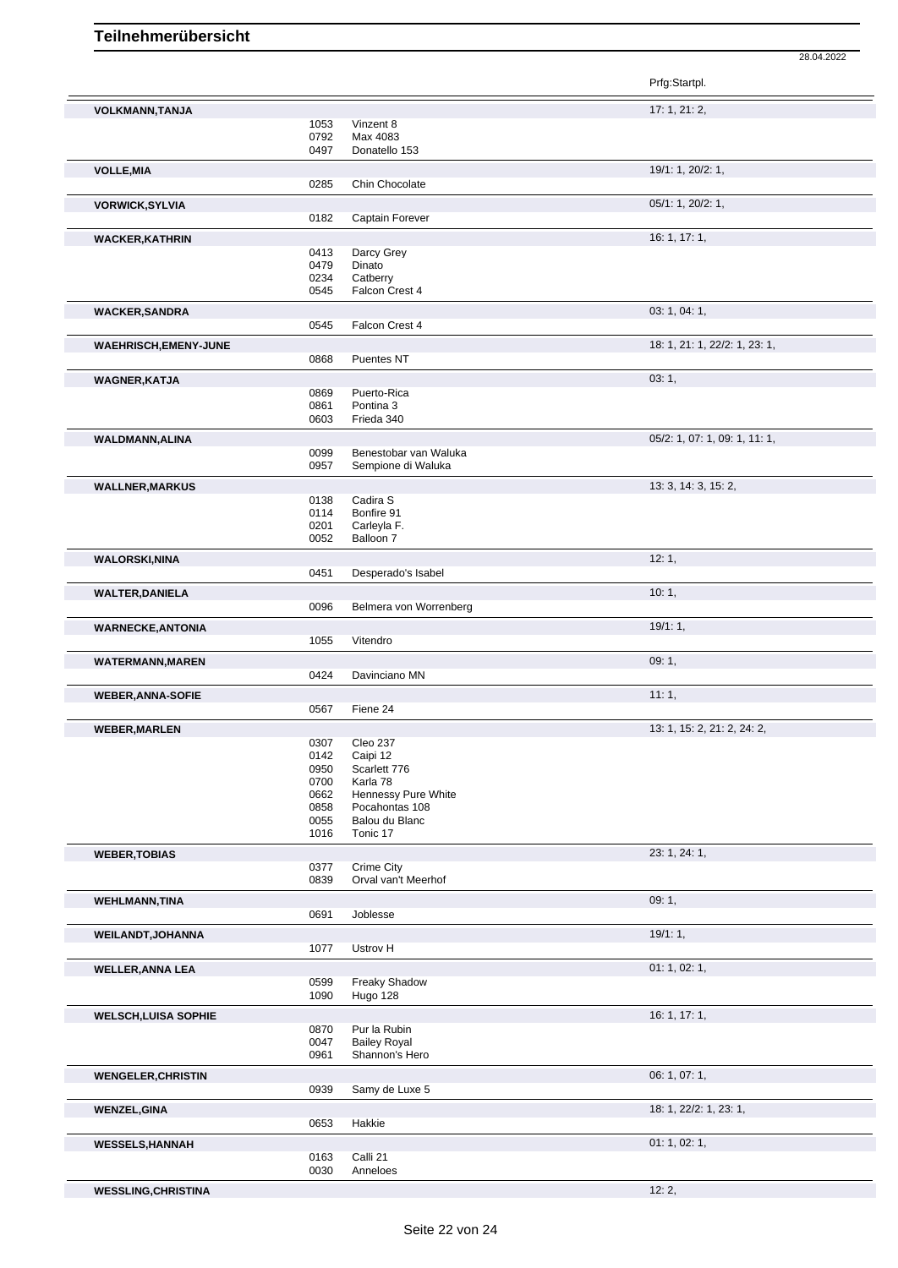|                              |              |                                       | Prfg:Startpl.                 |
|------------------------------|--------------|---------------------------------------|-------------------------------|
| <b>VOLKMANN, TANJA</b>       |              |                                       | 17:1, 21:2,                   |
|                              | 1053         | Vinzent 8                             |                               |
|                              | 0792         | Max 4083                              |                               |
|                              | 0497         | Donatello 153                         |                               |
| <b>VOLLE, MIA</b>            |              |                                       | 19/1: 1, 20/2: 1,             |
|                              | 0285         | Chin Chocolate                        |                               |
| <b>VORWICK, SYLVIA</b>       |              |                                       | 05/1: 1, 20/2: 1,             |
|                              | 0182         | Captain Forever                       |                               |
| <b>WACKER, KATHRIN</b>       |              |                                       | 16: 1, 17: 1,                 |
|                              | 0413<br>0479 | Darcy Grey<br>Dinato                  |                               |
|                              | 0234         | Catberry                              |                               |
|                              | 0545         | Falcon Crest 4                        |                               |
| <b>WACKER, SANDRA</b>        |              |                                       | 03: 1, 04: 1,                 |
|                              | 0545         | Falcon Crest 4                        |                               |
| <b>WAEHRISCH, EMENY-JUNE</b> |              |                                       | 18: 1, 21: 1, 22/2: 1, 23: 1, |
|                              | 0868         | Puentes NT                            |                               |
| <b>WAGNER, KATJA</b>         |              |                                       | 03:1,                         |
|                              | 0869         | Puerto-Rica                           |                               |
|                              | 0861         | Pontina 3                             |                               |
|                              | 0603         | Frieda 340                            |                               |
| WALDMANN, ALINA              | 0099         | Benestobar van Waluka                 | 05/2: 1, 07: 1, 09: 1, 11: 1, |
|                              | 0957         | Sempione di Waluka                    |                               |
| <b>WALLNER, MARKUS</b>       |              |                                       | 13: 3, 14: 3, 15: 2,          |
|                              | 0138         | Cadira S                              |                               |
|                              | 0114         | Bonfire 91                            |                               |
|                              | 0201         | Carleyla F.                           |                               |
|                              | 0052         | Balloon 7                             |                               |
| <b>WALORSKI, NINA</b>        | 0451         | Desperado's Isabel                    | 12:1,                         |
|                              |              |                                       |                               |
| <b>WALTER, DANIELA</b>       | 0096         | Belmera von Worrenberg                | 10:1,                         |
|                              |              |                                       | 19/1:1,                       |
| <b>WARNECKE, ANTONIA</b>     | 1055         | Vitendro                              |                               |
|                              |              |                                       | 09:1,                         |
| <b>WATERMANN, MAREN</b>      | 0424         | Davinciano MN                         |                               |
|                              |              |                                       | 11:1,                         |
| <b>WEBER, ANNA-SOFIE</b>     | 0567         | Fiene 24                              |                               |
| <b>WEBER, MARLEN</b>         |              |                                       | 13: 1, 15: 2, 21: 2, 24: 2,   |
|                              | 0307         | Cleo 237                              |                               |
|                              | 0142         | Caipi 12                              |                               |
|                              | 0950         | Scarlett 776                          |                               |
|                              | 0700         | Karla 78                              |                               |
|                              | 0662<br>0858 | Hennessy Pure White<br>Pocahontas 108 |                               |
|                              | 0055         | Balou du Blanc                        |                               |
|                              | 1016         | Tonic 17                              |                               |
| <b>WEBER, TOBIAS</b>         |              |                                       | 23: 1, 24: 1,                 |
|                              | 0377         | Crime City                            |                               |
|                              | 0839         | Orval van't Meerhof                   |                               |
| <b>WEHLMANN, TINA</b>        |              |                                       | 09:1,                         |
|                              | 0691         | Joblesse                              |                               |
| <b>WEILANDT, JOHANNA</b>     |              | Ustrov H                              | 19/1:1,                       |
|                              | 1077         |                                       |                               |
| <b>WELLER, ANNA LEA</b>      | 0599         | <b>Freaky Shadow</b>                  | 01: 1, 02: 1,                 |
|                              | 1090         | Hugo 128                              |                               |
| <b>WELSCH, LUISA SOPHIE</b>  |              |                                       | 16: 1, 17: 1,                 |
|                              | 0870         | Pur la Rubin                          |                               |
|                              | 0047         | <b>Bailey Royal</b>                   |                               |
|                              | 0961         | Shannon's Hero                        |                               |
| <b>WENGELER, CHRISTIN</b>    |              |                                       | 06: 1, 07: 1,                 |
|                              | 0939         | Samy de Luxe 5                        |                               |
| <b>WENZEL, GINA</b>          |              |                                       | 18: 1, 22/2: 1, 23: 1,        |
|                              | 0653         | Hakkie                                |                               |
| <b>WESSELS, HANNAH</b>       |              |                                       | 01: 1, 02: 1,                 |
|                              | 0163<br>0030 | Calli 21<br>Anneloes                  |                               |
| <b>WESSLING, CHRISTINA</b>   |              |                                       | 12:2,                         |
|                              |              |                                       |                               |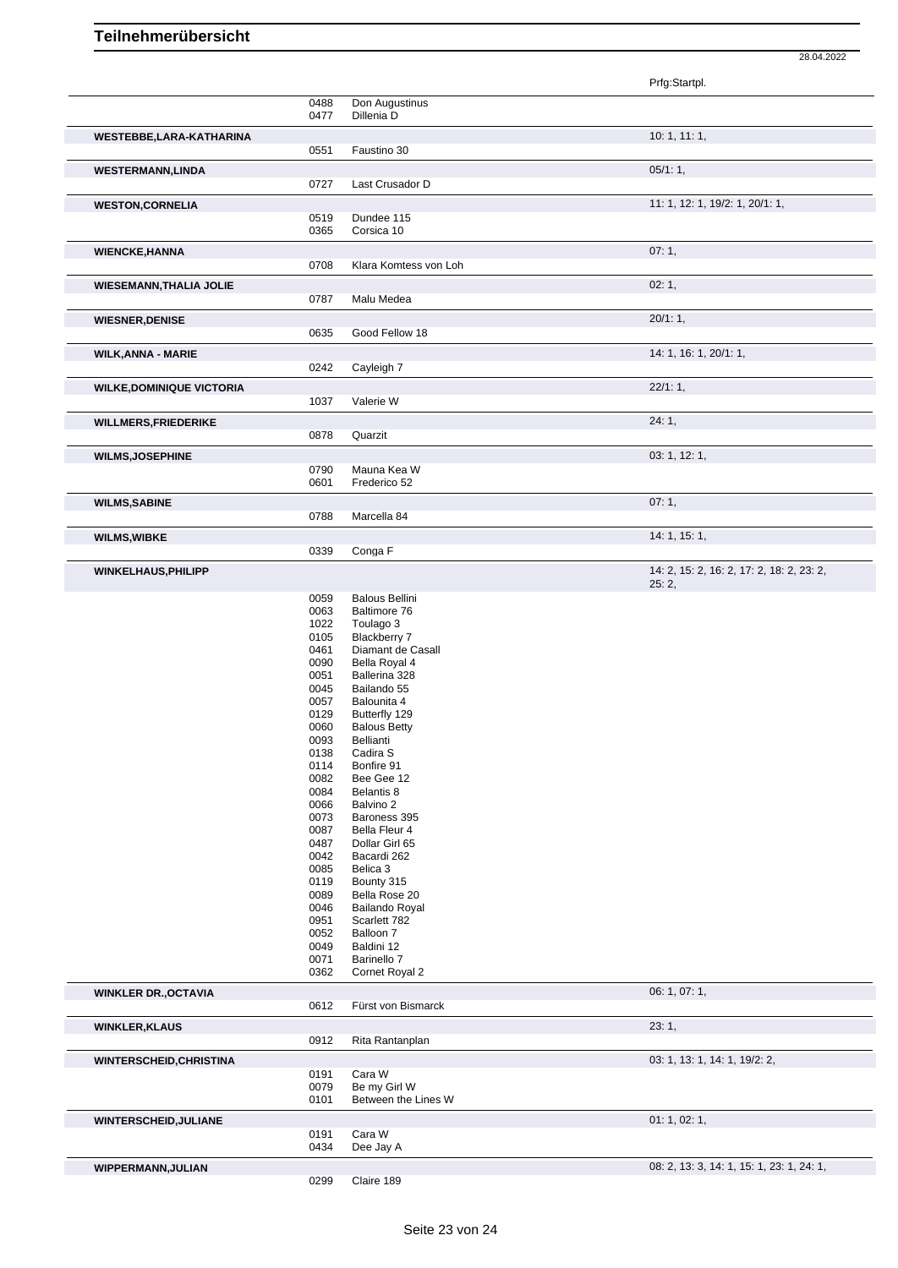|                                  |              |                                      | 28.04.2022                                |
|----------------------------------|--------------|--------------------------------------|-------------------------------------------|
|                                  |              |                                      | Prfg:Startpl.                             |
|                                  | 0488<br>0477 | Don Augustinus<br>Dillenia D         |                                           |
|                                  |              |                                      |                                           |
| WESTEBBE,LARA-KATHARINA          | 0551         | Faustino 30                          | 10: 1, 11: 1,                             |
|                                  |              |                                      |                                           |
| <b>WESTERMANN,LINDA</b>          | 0727         | Last Crusador D                      | 05/1:1,                                   |
|                                  |              |                                      |                                           |
| <b>WESTON, CORNELIA</b>          | 0519         | Dundee 115                           | 11: 1, 12: 1, 19/2: 1, 20/1: 1,           |
|                                  | 0365         | Corsica 10                           |                                           |
| <b>WIENCKE, HANNA</b>            |              |                                      | 07:1,                                     |
|                                  | 0708         | Klara Komtess von Loh                |                                           |
| <b>WIESEMANN, THALIA JOLIE</b>   |              |                                      | 02:1,                                     |
|                                  | 0787         | Malu Medea                           |                                           |
| <b>WIESNER, DENISE</b>           |              |                                      | 20/1:1,                                   |
|                                  | 0635         | Good Fellow 18                       |                                           |
| <b>WILK, ANNA - MARIE</b>        |              |                                      | 14: 1, 16: 1, 20/1: 1,                    |
|                                  | 0242         | Cayleigh 7                           |                                           |
|                                  |              |                                      | 22/1:1,                                   |
| <b>WILKE, DOMINIQUE VICTORIA</b> | 1037         | Valerie W                            |                                           |
|                                  |              |                                      | 24:1,                                     |
| <b>WILLMERS, FRIEDERIKE</b>      | 0878         | Quarzit                              |                                           |
|                                  |              |                                      | 03: 1, 12: 1,                             |
| <b>WILMS, JOSEPHINE</b>          | 0790         | Mauna Kea W                          |                                           |
|                                  | 0601         | Frederico 52                         |                                           |
| <b>WILMS, SABINE</b>             |              |                                      | 07:1,                                     |
|                                  | 0788         | Marcella 84                          |                                           |
| <b>WILMS, WIBKE</b>              |              |                                      | 14: 1, 15: 1,                             |
|                                  | 0339         | Conga <sub>F</sub>                   |                                           |
| <b>WINKELHAUS, PHILIPP</b>       |              |                                      | 14: 2, 15: 2, 16: 2, 17: 2, 18: 2, 23: 2, |
|                                  |              |                                      | 25:2,                                     |
|                                  | 0059         | <b>Balous Bellini</b>                |                                           |
|                                  | 0063<br>1022 | Baltimore 76<br>Toulago 3            |                                           |
|                                  | 0105         | Blackberry 7                         |                                           |
|                                  | 0461         | Diamant de Casall                    |                                           |
|                                  | 0090         | Bella Royal 4                        |                                           |
|                                  | 0051         | Ballerina 328                        |                                           |
|                                  | 0045         | Bailando 55                          |                                           |
|                                  | 0057         | Balounita 4                          |                                           |
|                                  | 0129<br>0060 | Butterfly 129<br><b>Balous Betty</b> |                                           |
|                                  | 0093         | Bellianti                            |                                           |
|                                  | 0138         | Cadira S                             |                                           |
|                                  | 0114         | Bonfire 91                           |                                           |
|                                  | 0082         | Bee Gee 12                           |                                           |
|                                  | 0084         | Belantis 8                           |                                           |
|                                  | 0066         | Balvino 2                            |                                           |
|                                  | 0073<br>0087 | Baroness 395<br>Bella Fleur 4        |                                           |
|                                  | 0487         | Dollar Girl 65                       |                                           |
|                                  | 0042         | Bacardi 262                          |                                           |
|                                  | 0085         | Belica 3                             |                                           |
|                                  | 0119         | Bounty 315                           |                                           |
|                                  | 0089         | Bella Rose 20                        |                                           |
|                                  | 0046<br>0951 | Bailando Royal<br>Scarlett 782       |                                           |
|                                  | 0052         | Balloon 7                            |                                           |
|                                  | 0049         | Baldini 12                           |                                           |
|                                  | 0071         | Barinello 7                          |                                           |
|                                  | 0362         | Cornet Royal 2                       |                                           |
| <b>WINKLER DR., OCTAVIA</b>      |              |                                      | 06: 1, 07: 1,                             |
|                                  | 0612         | Fürst von Bismarck                   |                                           |
| <b>WINKLER, KLAUS</b>            |              |                                      | 23:1,                                     |
|                                  | 0912         | Rita Rantanplan                      |                                           |
| <b>WINTERSCHEID, CHRISTINA</b>   |              |                                      | 03: 1, 13: 1, 14: 1, 19/2: 2,             |
|                                  | 0191         | Cara W                               |                                           |
|                                  | 0079         | Be my Girl W                         |                                           |
|                                  | 0101         | Between the Lines W                  |                                           |
| <b>WINTERSCHEID, JULIANE</b>     |              |                                      | 01: 1, 02: 1,                             |
|                                  | 0191<br>0434 | Cara W<br>Dee Jay A                  |                                           |
|                                  |              |                                      |                                           |
| WIPPERMANN, JULIAN               |              |                                      | 08: 2, 13: 3, 14: 1, 15: 1, 23: 1, 24: 1, |
|                                  | 0299         | Claire 189                           |                                           |